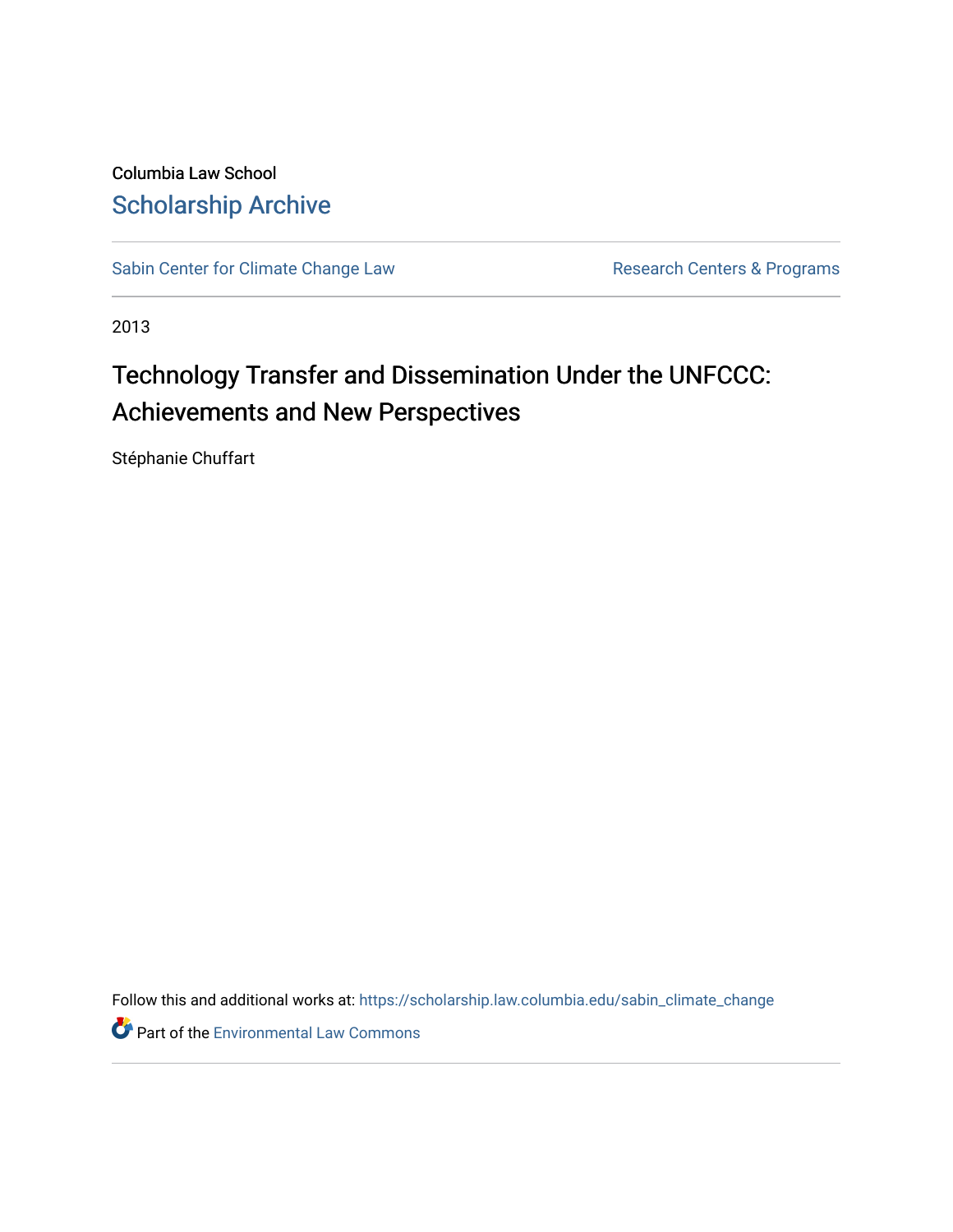Columbia Law School [Scholarship Archive](https://scholarship.law.columbia.edu/) 

[Sabin Center for Climate Change Law](https://scholarship.law.columbia.edu/sabin_climate_change) Research Centers & Programs

2013

# Technology Transfer and Dissemination Under the UNFCCC: Achievements and New Perspectives

Stéphanie Chuffart

Follow this and additional works at: [https://scholarship.law.columbia.edu/sabin\\_climate\\_change](https://scholarship.law.columbia.edu/sabin_climate_change?utm_source=scholarship.law.columbia.edu%2Fsabin_climate_change%2F153&utm_medium=PDF&utm_campaign=PDFCoverPages) 

**Part of the [Environmental Law Commons](http://network.bepress.com/hgg/discipline/599?utm_source=scholarship.law.columbia.edu%2Fsabin_climate_change%2F153&utm_medium=PDF&utm_campaign=PDFCoverPages)**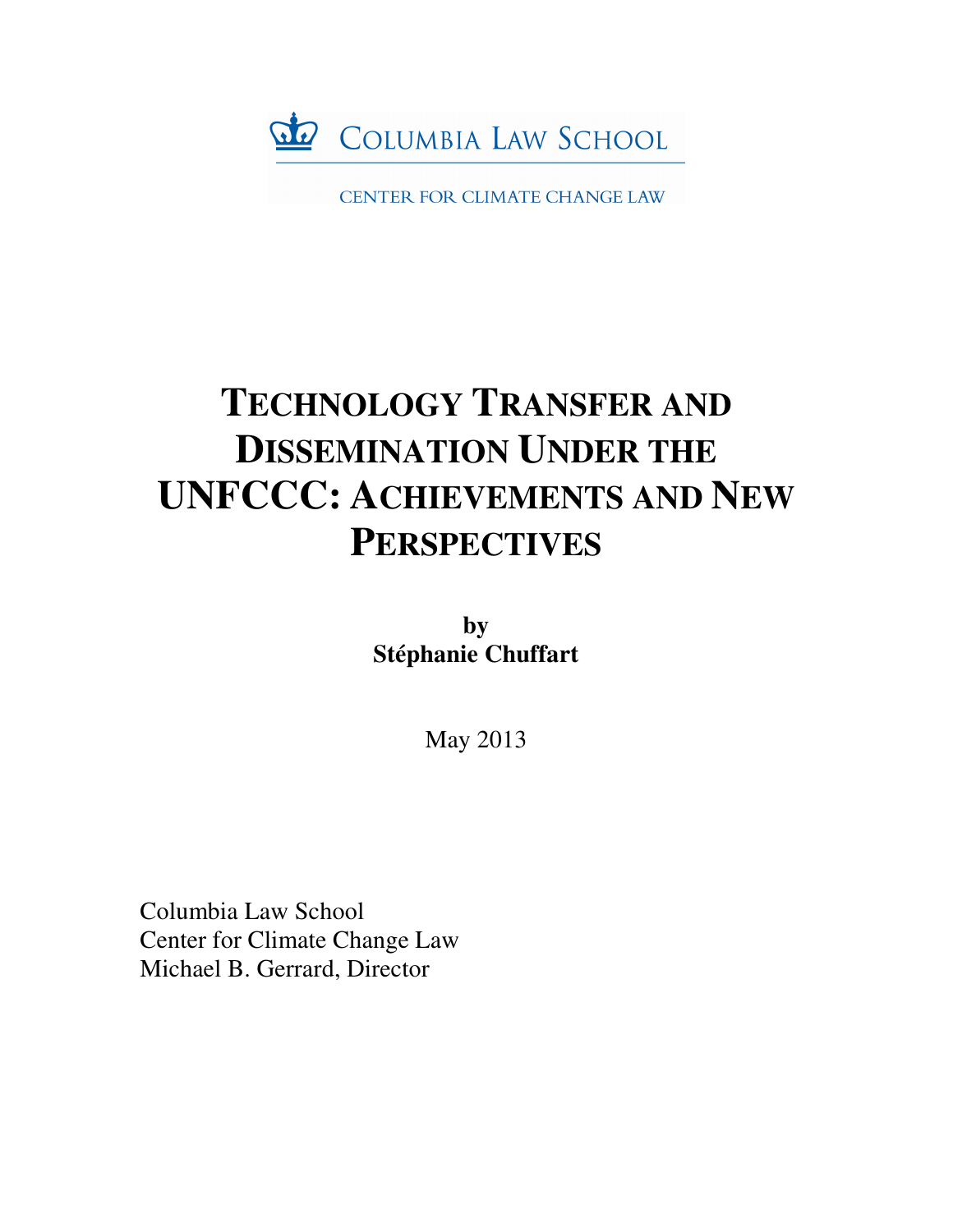

CENTER FOR CLIMATE CHANGE LAW

# **TECHNOLOGY TRANSFER AND DISSEMINATION UNDER THE UNFCCC: ACHIEVEMENTS AND NEW PERSPECTIVES**

**by Stéphanie Chuffart** 

May 2013

Columbia Law School Center for Climate Change Law Michael B. Gerrard, Director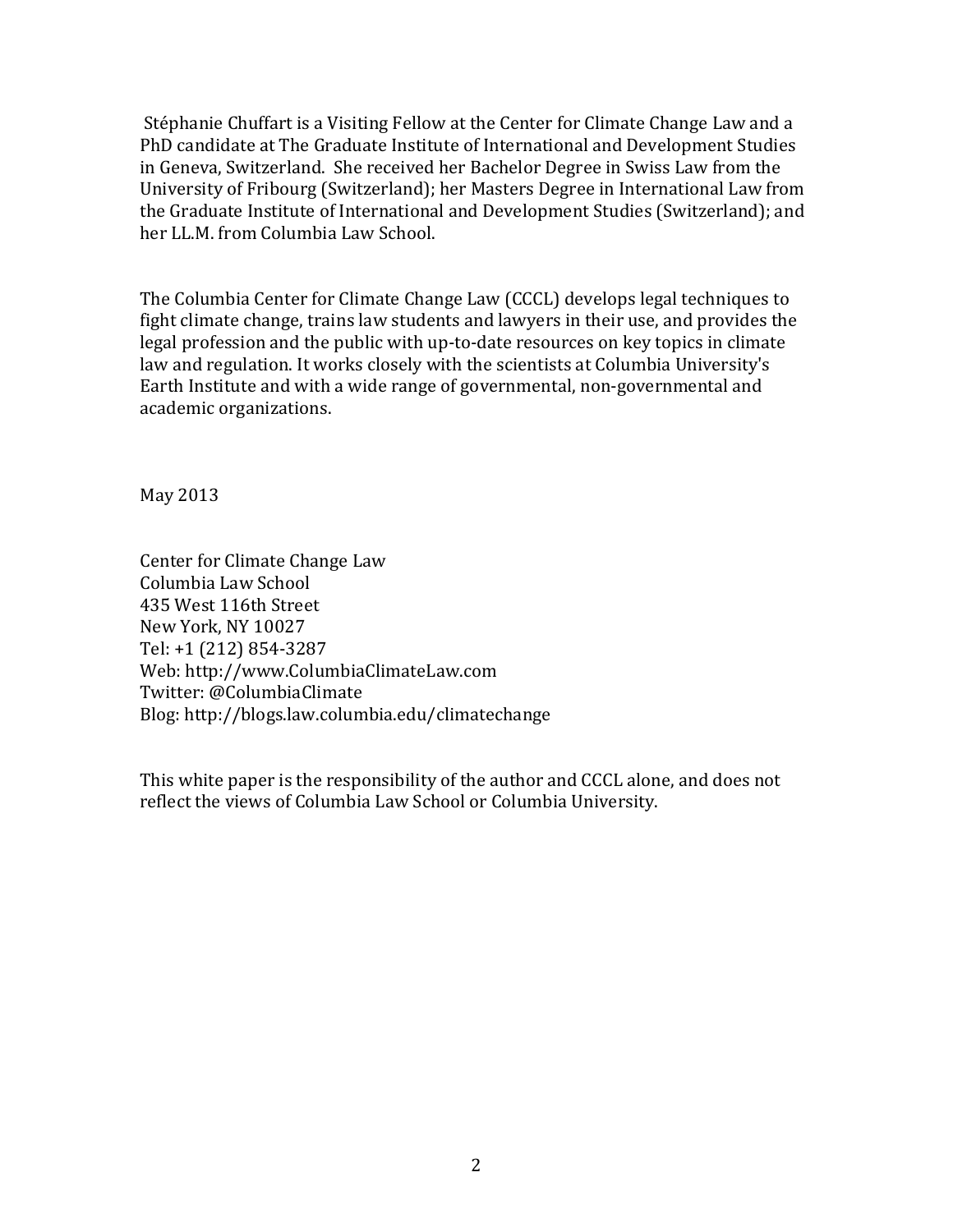Stéphanie Chuffart is a Visiting Fellow at the Center for Climate Change Law and a PhD candidate at The Graduate Institute of International and Development Studies in Geneva, Switzerland. She received her Bachelor Degree in Swiss Law from the University of Fribourg (Switzerland); her Masters Degree in International Law from the Graduate Institute of International and Development Studies (Switzerland); and her LL.M. from Columbia Law School.

The Columbia Center for Climate Change Law (CCCL) develops legal techniques to fight climate change, trains law students and lawyers in their use, and provides the legal profession and the public with up-to-date resources on key topics in climate law and regulation. It works closely with the scientists at Columbia University's Earth Institute and with a wide range of governmental, non-governmental and academic organizations.

May 2013

Center for Climate Change Law Columbia Law School 435 West 116th Street New York, NY 10027 Tel: +1 (212) 854-3287 Web: http://www.ColumbiaClimateLaw.com Twitter: @ColumbiaClimate Blog: http://blogs.law.columbia.edu/climatechange

This white paper is the responsibility of the author and CCCL alone, and does not reflect the views of Columbia Law School or Columbia University.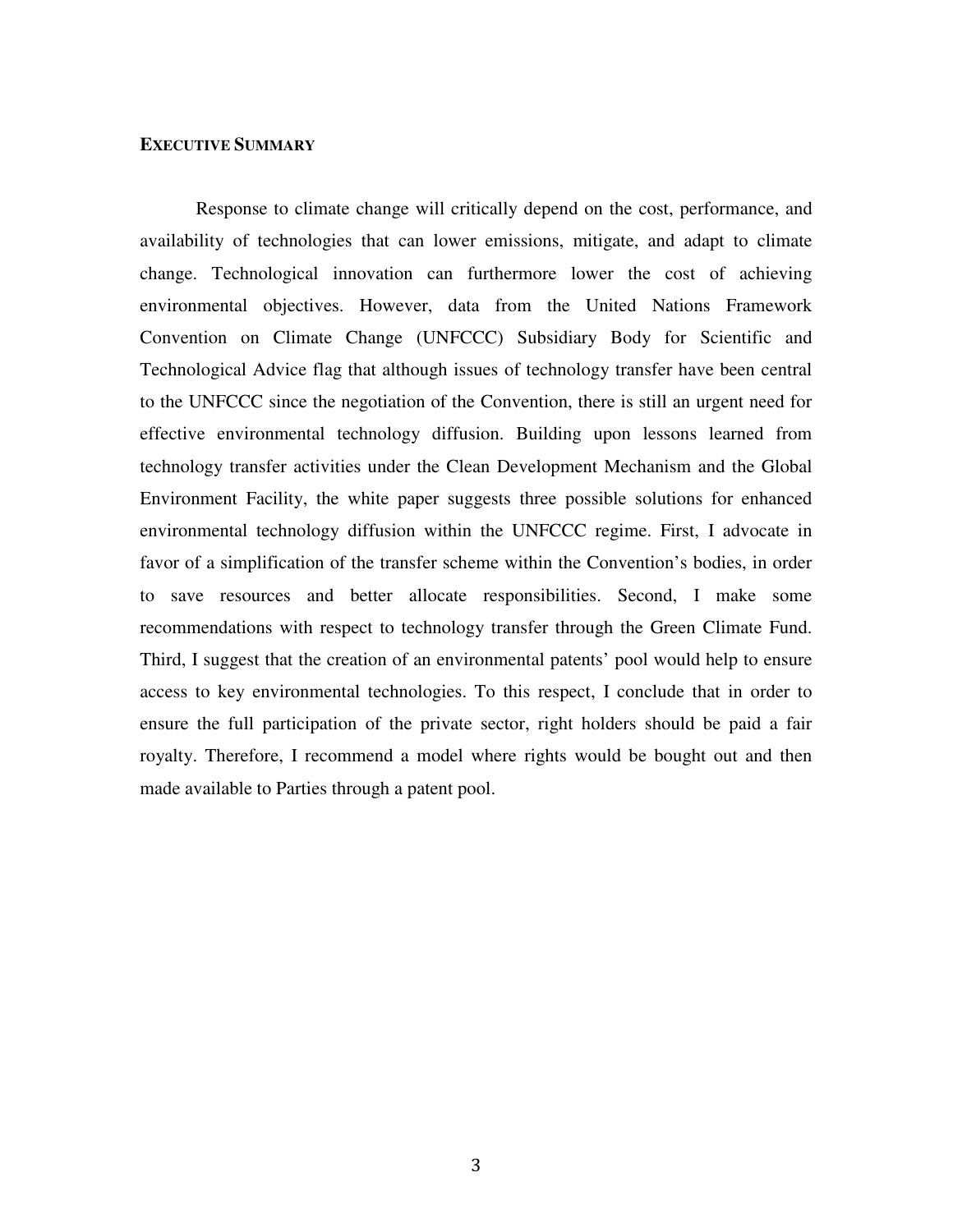# **EXECUTIVE SUMMARY**

Response to climate change will critically depend on the cost, performance, and availability of technologies that can lower emissions, mitigate, and adapt to climate change. Technological innovation can furthermore lower the cost of achieving environmental objectives. However, data from the United Nations Framework Convention on Climate Change (UNFCCC) Subsidiary Body for Scientific and Technological Advice flag that although issues of technology transfer have been central to the UNFCCC since the negotiation of the Convention, there is still an urgent need for effective environmental technology diffusion. Building upon lessons learned from technology transfer activities under the Clean Development Mechanism and the Global Environment Facility, the white paper suggests three possible solutions for enhanced environmental technology diffusion within the UNFCCC regime. First, I advocate in favor of a simplification of the transfer scheme within the Convention's bodies, in order to save resources and better allocate responsibilities. Second, I make some recommendations with respect to technology transfer through the Green Climate Fund. Third, I suggest that the creation of an environmental patents' pool would help to ensure access to key environmental technologies. To this respect, I conclude that in order to ensure the full participation of the private sector, right holders should be paid a fair royalty. Therefore, I recommend a model where rights would be bought out and then made available to Parties through a patent pool.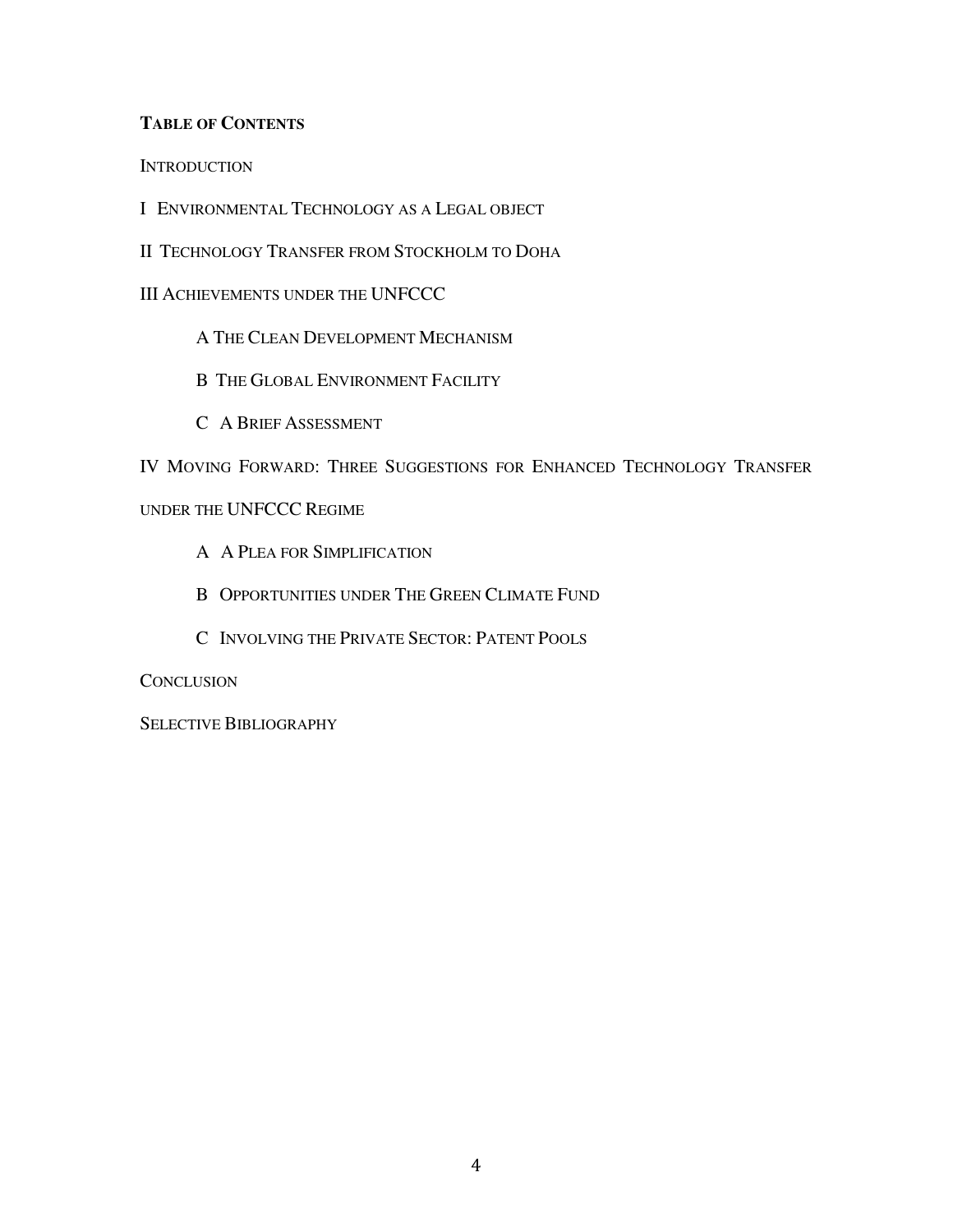# **TABLE OF CONTENTS**

**INTRODUCTION** 

I ENVIRONMENTAL TECHNOLOGY AS A LEGAL OBJECT

II TECHNOLOGY TRANSFER FROM STOCKHOLM TO DOHA

III ACHIEVEMENTS UNDER THE UNFCCC

A THE CLEAN DEVELOPMENT MECHANISM

B THE GLOBAL ENVIRONMENT FACILITY

C A BRIEF ASSESSMENT

IV MOVING FORWARD: THREE SUGGESTIONS FOR ENHANCED TECHNOLOGY TRANSFER

# UNDER THE UNFCCC REGIME

- A A PLEA FOR SIMPLIFICATION
- B OPPORTUNITIES UNDER THE GREEN CLIMATE FUND
- C INVOLVING THE PRIVATE SECTOR: PATENT POOLS

**CONCLUSION** 

SELECTIVE BIBLIOGRAPHY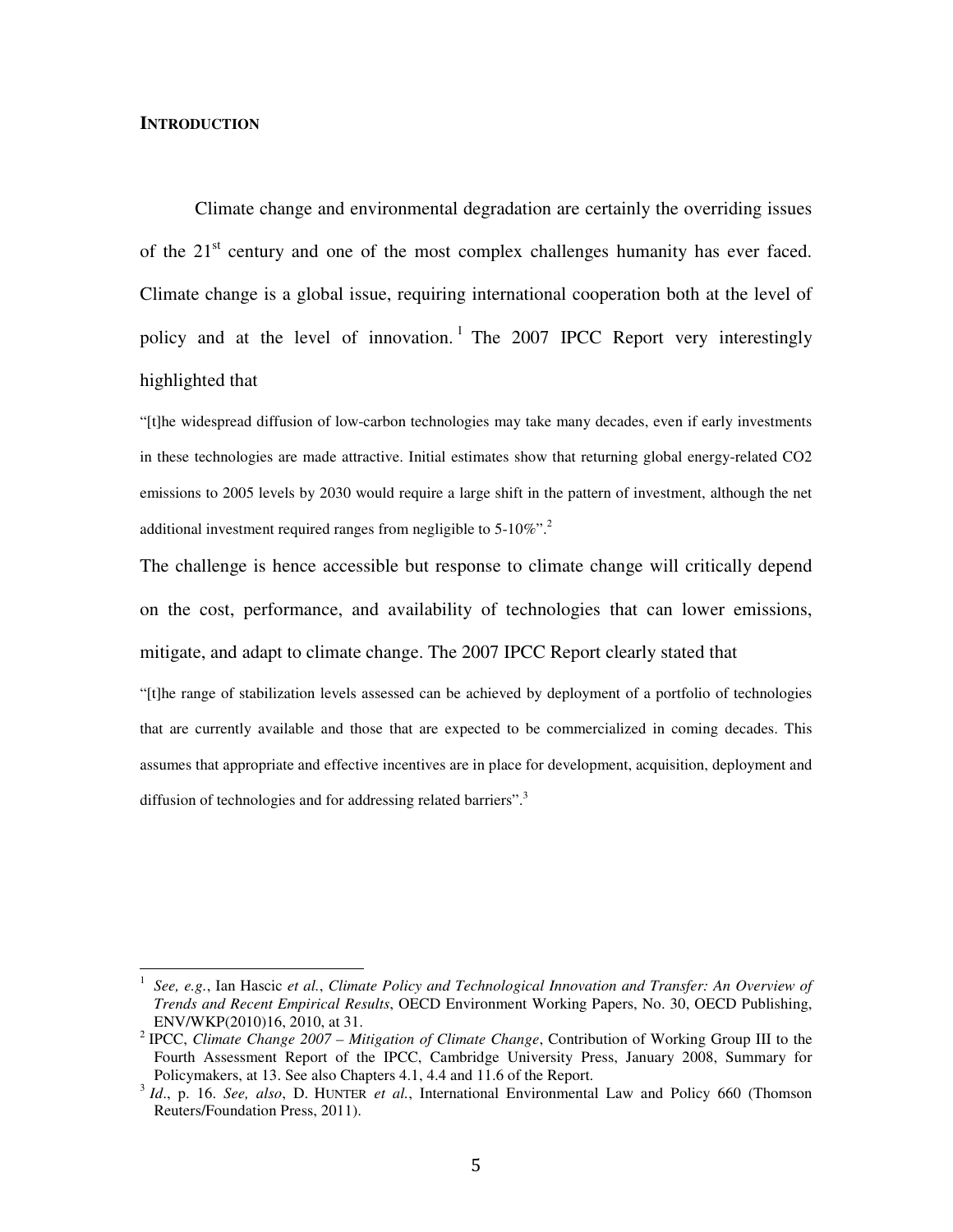#### **INTRODUCTION**

 $\overline{\phantom{a}}$ 

Climate change and environmental degradation are certainly the overriding issues of the  $21<sup>st</sup>$  century and one of the most complex challenges humanity has ever faced. Climate change is a global issue, requiring international cooperation both at the level of policy and at the level of innovation.<sup>1</sup> The 2007 IPCC Report very interestingly highlighted that

"[t]he widespread diffusion of low-carbon technologies may take many decades, even if early investments in these technologies are made attractive. Initial estimates show that returning global energy-related CO2 emissions to 2005 levels by 2030 would require a large shift in the pattern of investment, although the net additional investment required ranges from negligible to 5-10%".<sup>2</sup>

The challenge is hence accessible but response to climate change will critically depend on the cost, performance, and availability of technologies that can lower emissions, mitigate, and adapt to climate change. The 2007 IPCC Report clearly stated that

"[t]he range of stabilization levels assessed can be achieved by deployment of a portfolio of technologies that are currently available and those that are expected to be commercialized in coming decades. This assumes that appropriate and effective incentives are in place for development, acquisition, deployment and diffusion of technologies and for addressing related barriers".<sup>3</sup>

<sup>1</sup> *See, e.g.*, Ian Hascic *et al.*, *Climate Policy and Technological Innovation and Transfer: An Overview of Trends and Recent Empirical Results*, OECD Environment Working Papers, No. 30, OECD Publishing, ENV/WKP(2010)16, 2010, at 31.

<sup>2</sup> IPCC, *Climate Change 2007 – Mitigation of Climate Change*, Contribution of Working Group III to the Fourth Assessment Report of the IPCC, Cambridge University Press, January 2008, Summary for Policymakers, at 13. See also Chapters 4.1, 4.4 and 11.6 of the Report.

<sup>&</sup>lt;sup>3</sup> Id., p. 16. *See, also*, D. HUNTER *et al.*, International Environmental Law and Policy 660 (Thomson Reuters/Foundation Press, 2011).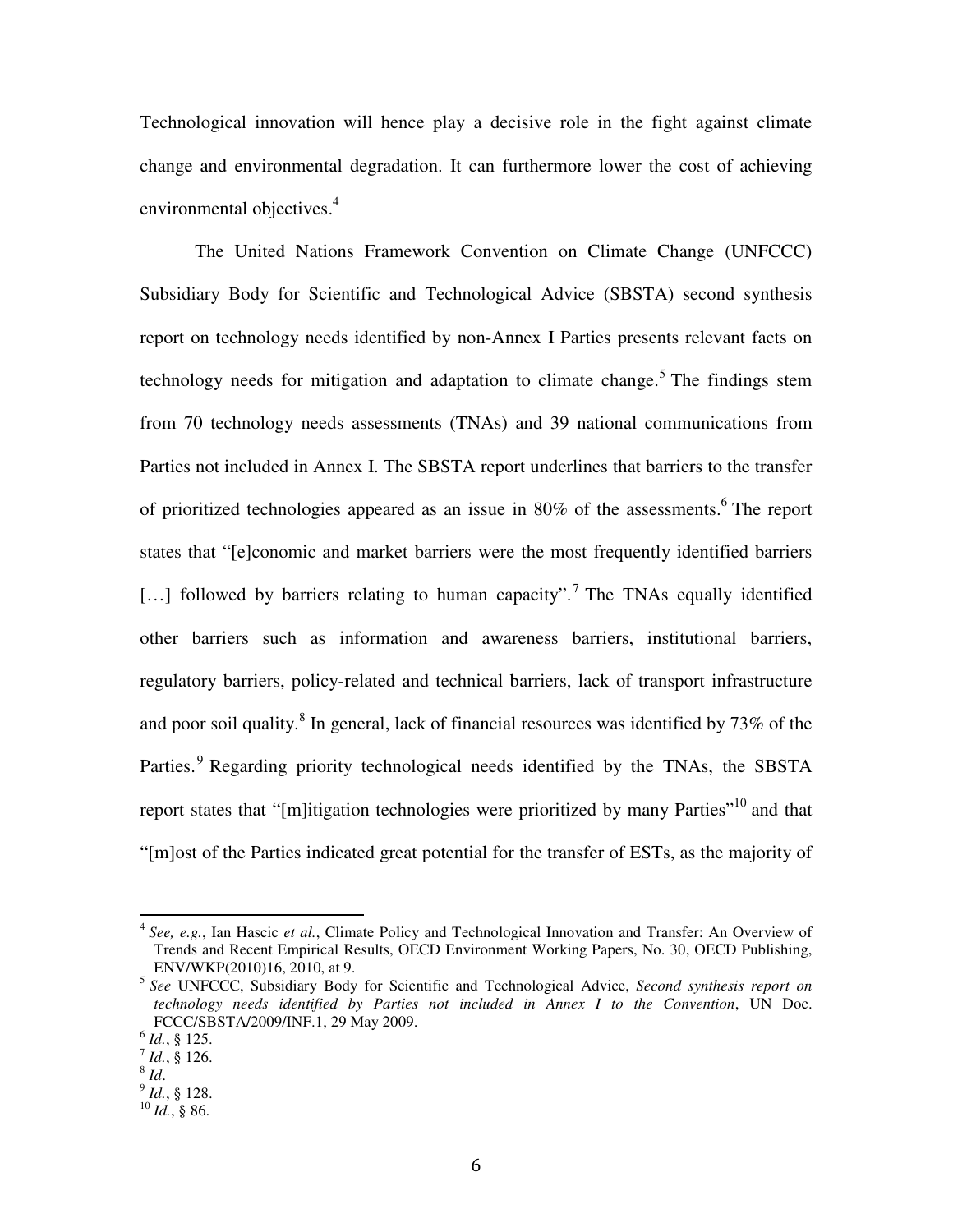Technological innovation will hence play a decisive role in the fight against climate change and environmental degradation. It can furthermore lower the cost of achieving environmental objectives.<sup>4</sup>

The United Nations Framework Convention on Climate Change (UNFCCC) Subsidiary Body for Scientific and Technological Advice (SBSTA) second synthesis report on technology needs identified by non-Annex I Parties presents relevant facts on technology needs for mitigation and adaptation to climate change.<sup>5</sup> The findings stem from 70 technology needs assessments (TNAs) and 39 national communications from Parties not included in Annex I. The SBSTA report underlines that barriers to the transfer of prioritized technologies appeared as an issue in 80% of the assessments. <sup>6</sup> The report states that "[e]conomic and market barriers were the most frequently identified barriers [...] followed by barriers relating to human capacity".<sup>7</sup> The TNAs equally identified other barriers such as information and awareness barriers, institutional barriers, regulatory barriers, policy-related and technical barriers, lack of transport infrastructure and poor soil quality.<sup>8</sup> In general, lack of financial resources was identified by  $73\%$  of the Parties.<sup>9</sup> Regarding priority technological needs identified by the TNAs, the SBSTA report states that "[m]itigation technologies were prioritized by many Parties"<sup>10</sup> and that "[m]ost of the Parties indicated great potential for the transfer of ESTs, as the majority of

 4 *See, e.g.*, Ian Hascic *et al.*, Climate Policy and Technological Innovation and Transfer: An Overview of Trends and Recent Empirical Results, OECD Environment Working Papers, No. 30, OECD Publishing, ENV/WKP(2010)16, 2010, at 9.

<sup>5</sup> *See* UNFCCC, Subsidiary Body for Scientific and Technological Advice, *Second synthesis report on technology needs identified by Parties not included in Annex I to the Convention*, UN Doc. FCCC/SBSTA/2009/INF.1, 29 May 2009.

<sup>6</sup> *Id.*, § 125.

 $^7$  *Id.*, § 126.

<sup>8</sup> *Id*.

<sup>9</sup> *Id.*, § 128.

 $^{10}$  *Id.*, § 86.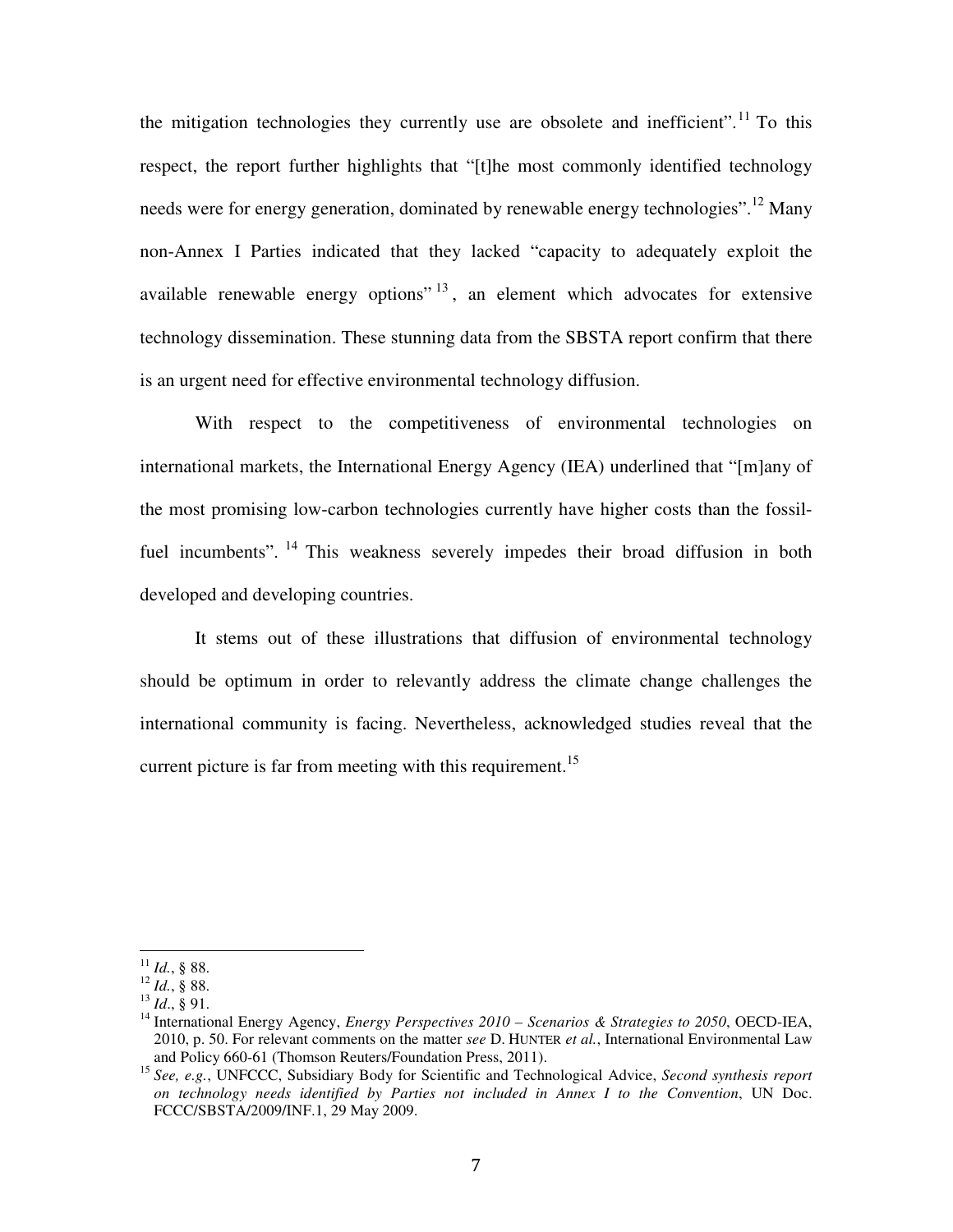the mitigation technologies they currently use are obsolete and inefficient".<sup>11</sup> To this respect, the report further highlights that "[t]he most commonly identified technology needs were for energy generation, dominated by renewable energy technologies".<sup>12</sup> Many non-Annex I Parties indicated that they lacked "capacity to adequately exploit the available renewable energy options"  $13$ , an element which advocates for extensive technology dissemination. These stunning data from the SBSTA report confirm that there is an urgent need for effective environmental technology diffusion.

With respect to the competitiveness of environmental technologies on international markets, the International Energy Agency (IEA) underlined that "[m]any of the most promising low-carbon technologies currently have higher costs than the fossilfuel incumbents". <sup>14</sup> This weakness severely impedes their broad diffusion in both developed and developing countries.

It stems out of these illustrations that diffusion of environmental technology should be optimum in order to relevantly address the climate change challenges the international community is facing. Nevertheless, acknowledged studies reveal that the current picture is far from meeting with this requirement.<sup>15</sup>

 $^{11}$  *Id.*, § 88.

 $^{12}$  *Id.*, § 88.

<sup>13</sup> *Id*., § 91.

<sup>&</sup>lt;sup>14</sup> International Energy Agency, *Energy Perspectives* 2010 – Scenarios & Strategies to 2050, OECD-IEA, 2010, p. 50. For relevant comments on the matter *see* D. HUNTER *et al.*, International Environmental Law and Policy 660-61 (Thomson Reuters/Foundation Press, 2011).

<sup>15</sup> *See, e.g.*, UNFCCC, Subsidiary Body for Scientific and Technological Advice, *Second synthesis report on technology needs identified by Parties not included in Annex I to the Convention*, UN Doc. FCCC/SBSTA/2009/INF.1, 29 May 2009.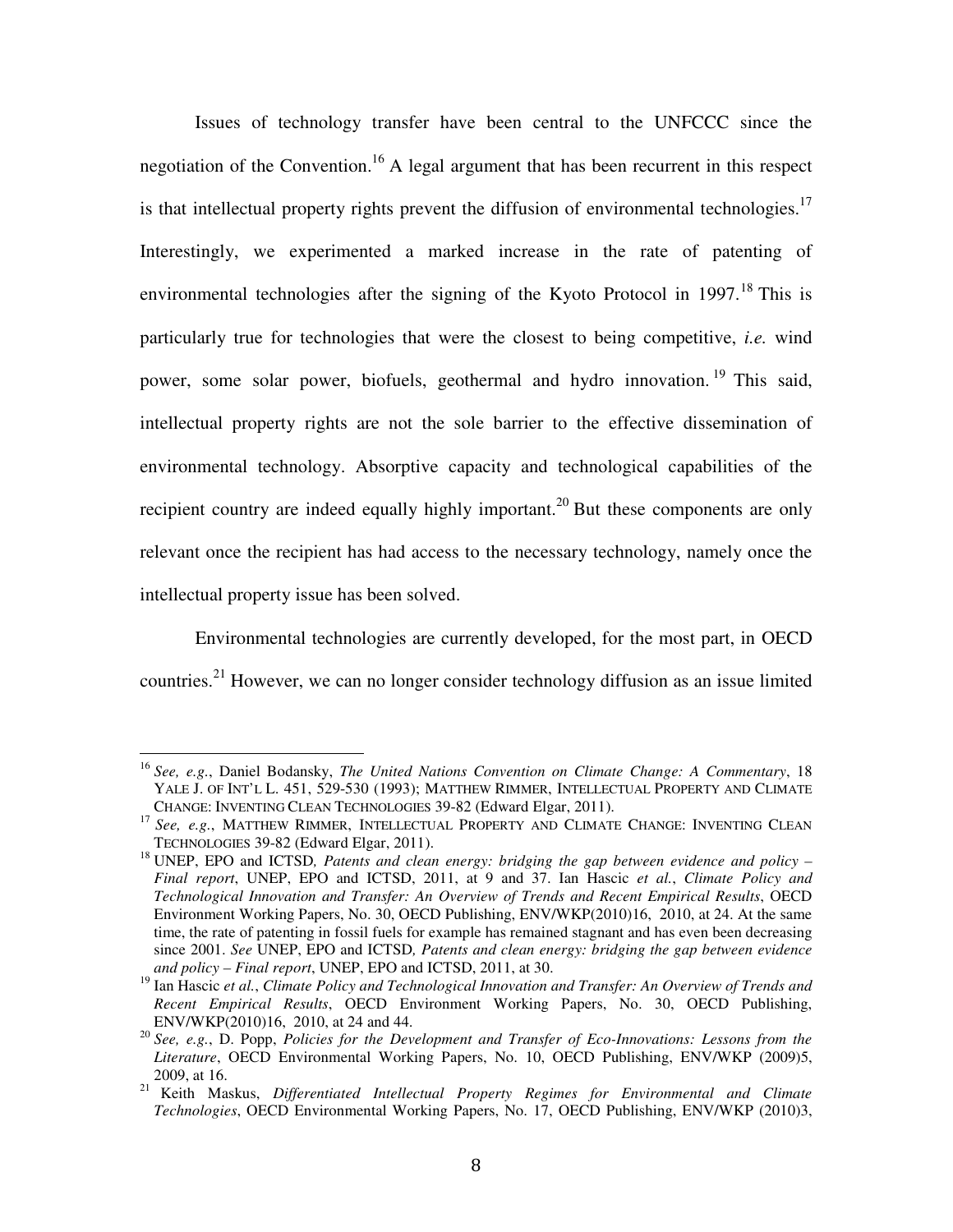Issues of technology transfer have been central to the UNFCCC since the negotiation of the Convention.<sup>16</sup> A legal argument that has been recurrent in this respect is that intellectual property rights prevent the diffusion of environmental technologies.<sup>17</sup> Interestingly, we experimented a marked increase in the rate of patenting of environmental technologies after the signing of the Kyoto Protocol in  $1997$ .<sup>18</sup> This is particularly true for technologies that were the closest to being competitive, *i.e.* wind power, some solar power, biofuels, geothermal and hydro innovation.<sup>19</sup> This said, intellectual property rights are not the sole barrier to the effective dissemination of environmental technology. Absorptive capacity and technological capabilities of the recipient country are indeed equally highly important.<sup>20</sup> But these components are only relevant once the recipient has had access to the necessary technology, namely once the intellectual property issue has been solved.

Environmental technologies are currently developed, for the most part, in OECD countries.<sup>21</sup> However, we can no longer consider technology diffusion as an issue limited

 $\overline{\phantom{a}}$ 

<sup>16</sup> *See, e.g.*, Daniel Bodansky, *The United Nations Convention on Climate Change: A Commentary*, 18 YALE J. OF INT'L L. 451, 529-530 (1993); MATTHEW RIMMER, INTELLECTUAL PROPERTY AND CLIMATE CHANGE: INVENTING CLEAN TECHNOLOGIES 39-82 (Edward Elgar, 2011).

<sup>&</sup>lt;sup>17</sup> See, e.g., MATTHEW RIMMER, INTELLECTUAL PROPERTY AND CLIMATE CHANGE: INVENTING CLEAN TECHNOLOGIES 39-82 (Edward Elgar, 2011).

<sup>&</sup>lt;sup>18</sup> UNEP, EPO and ICTSD, Patents and clean energy: bridging the gap between evidence and policy – *Final report*, UNEP, EPO and ICTSD, 2011, at 9 and 37. Ian Hascic *et al.*, *Climate Policy and Technological Innovation and Transfer: An Overview of Trends and Recent Empirical Results*, OECD Environment Working Papers, No. 30, OECD Publishing, ENV/WKP(2010)16, 2010, at 24. At the same time, the rate of patenting in fossil fuels for example has remained stagnant and has even been decreasing since 2001. *See* UNEP, EPO and ICTSD*, Patents and clean energy: bridging the gap between evidence and policy – Final report*, UNEP, EPO and ICTSD, 2011, at 30.

<sup>19</sup> Ian Hascic *et al.*, *Climate Policy and Technological Innovation and Transfer: An Overview of Trends and Recent Empirical Results*, OECD Environment Working Papers, No. 30, OECD Publishing, ENV/WKP(2010)16, 2010, at 24 and 44.

<sup>20</sup> *See, e.g.*, D. Popp, *Policies for the Development and Transfer of Eco-Innovations: Lessons from the Literature*, OECD Environmental Working Papers, No. 10, OECD Publishing, ENV/WKP (2009)5, 2009, at 16.

<sup>21</sup> Keith Maskus, *Differentiated Intellectual Property Regimes for Environmental and Climate Technologies*, OECD Environmental Working Papers, No. 17, OECD Publishing, ENV/WKP (2010)3,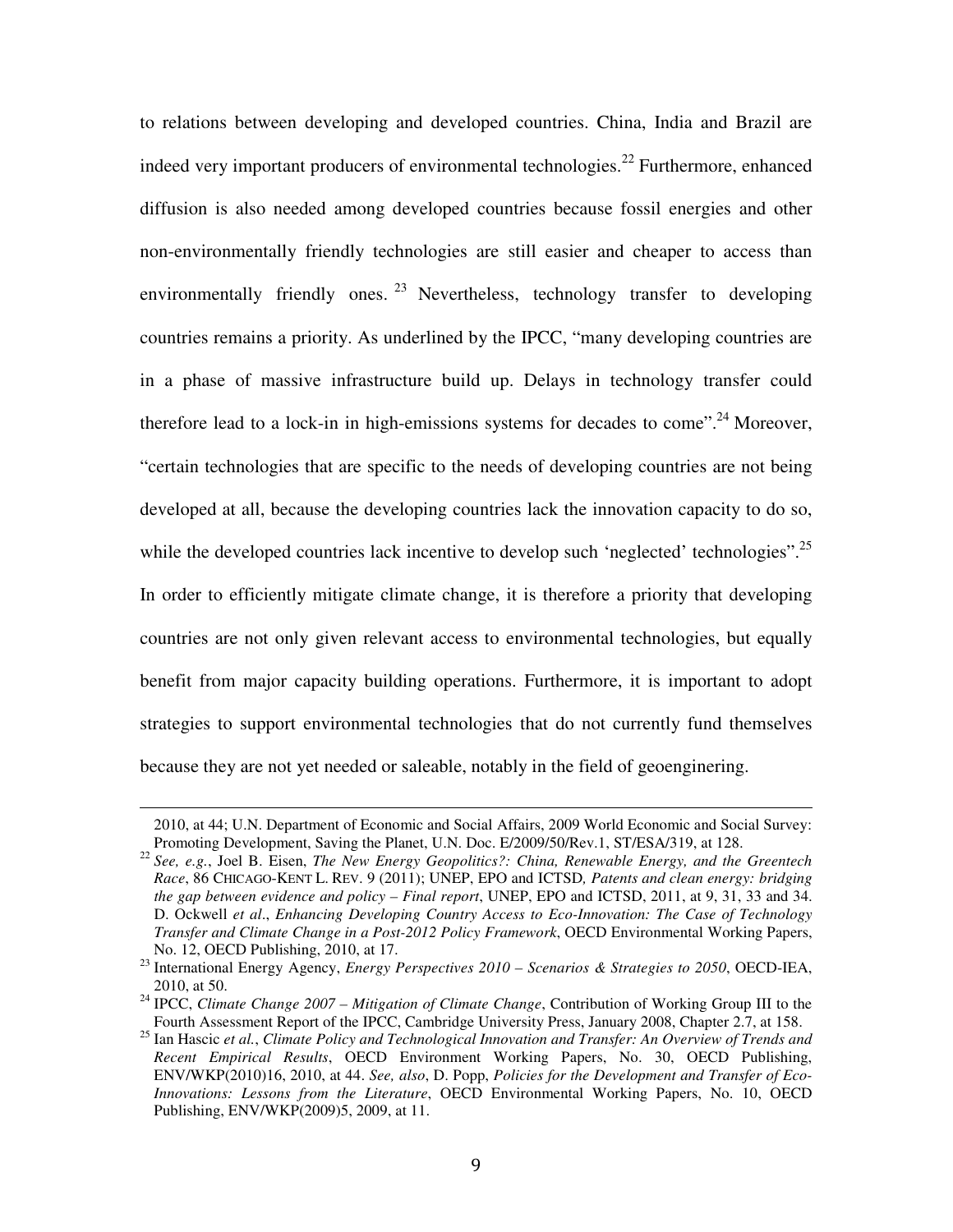to relations between developing and developed countries. China, India and Brazil are indeed very important producers of environmental technologies.<sup>22</sup> Furthermore, enhanced diffusion is also needed among developed countries because fossil energies and other non-environmentally friendly technologies are still easier and cheaper to access than environmentally friendly ones.  $^{23}$  Nevertheless, technology transfer to developing countries remains a priority. As underlined by the IPCC, "many developing countries are in a phase of massive infrastructure build up. Delays in technology transfer could therefore lead to a lock-in in high-emissions systems for decades to come".<sup>24</sup> Moreover, "certain technologies that are specific to the needs of developing countries are not being developed at all, because the developing countries lack the innovation capacity to do so, while the developed countries lack incentive to develop such 'neglected' technologies".<sup>25</sup> In order to efficiently mitigate climate change, it is therefore a priority that developing countries are not only given relevant access to environmental technologies, but equally benefit from major capacity building operations. Furthermore, it is important to adopt strategies to support environmental technologies that do not currently fund themselves because they are not yet needed or saleable, notably in the field of geoenginering.

<sup>2010,</sup> at 44; U.N. Department of Economic and Social Affairs, 2009 World Economic and Social Survey: Promoting Development, Saving the Planet, U.N. Doc. E/2009/50/Rev.1, ST/ESA/319, at 128.

<sup>22</sup> *See, e.g.*, Joel B. Eisen, *The New Energy Geopolitics?: China, Renewable Energy, and the Greentech Race*, 86 CHICAGO-KENT L. REV. 9 (2011); UNEP, EPO and ICTSD*, Patents and clean energy: bridging the gap between evidence and policy – Final report*, UNEP, EPO and ICTSD, 2011, at 9, 31, 33 and 34. D. Ockwell *et al*., *Enhancing Developing Country Access to Eco-Innovation: The Case of Technology Transfer and Climate Change in a Post-2012 Policy Framework*, OECD Environmental Working Papers, No. 12, OECD Publishing, 2010, at 17.

<sup>23</sup> International Energy Agency, *Energy Perspectives 2010 – Scenarios & Strategies to 2050*, OECD-IEA, 2010, at 50.

<sup>24</sup> IPCC, *Climate Change 2007 – Mitigation of Climate Change*, Contribution of Working Group III to the Fourth Assessment Report of the IPCC, Cambridge University Press, January 2008, Chapter 2.7, at 158.

<sup>25</sup> Ian Hascic *et al.*, *Climate Policy and Technological Innovation and Transfer: An Overview of Trends and Recent Empirical Results*, OECD Environment Working Papers, No. 30, OECD Publishing, ENV/WKP(2010)16, 2010, at 44. *See, also*, D. Popp, *Policies for the Development and Transfer of Eco-Innovations: Lessons from the Literature*, OECD Environmental Working Papers, No. 10, OECD Publishing, ENV/WKP(2009)5, 2009, at 11.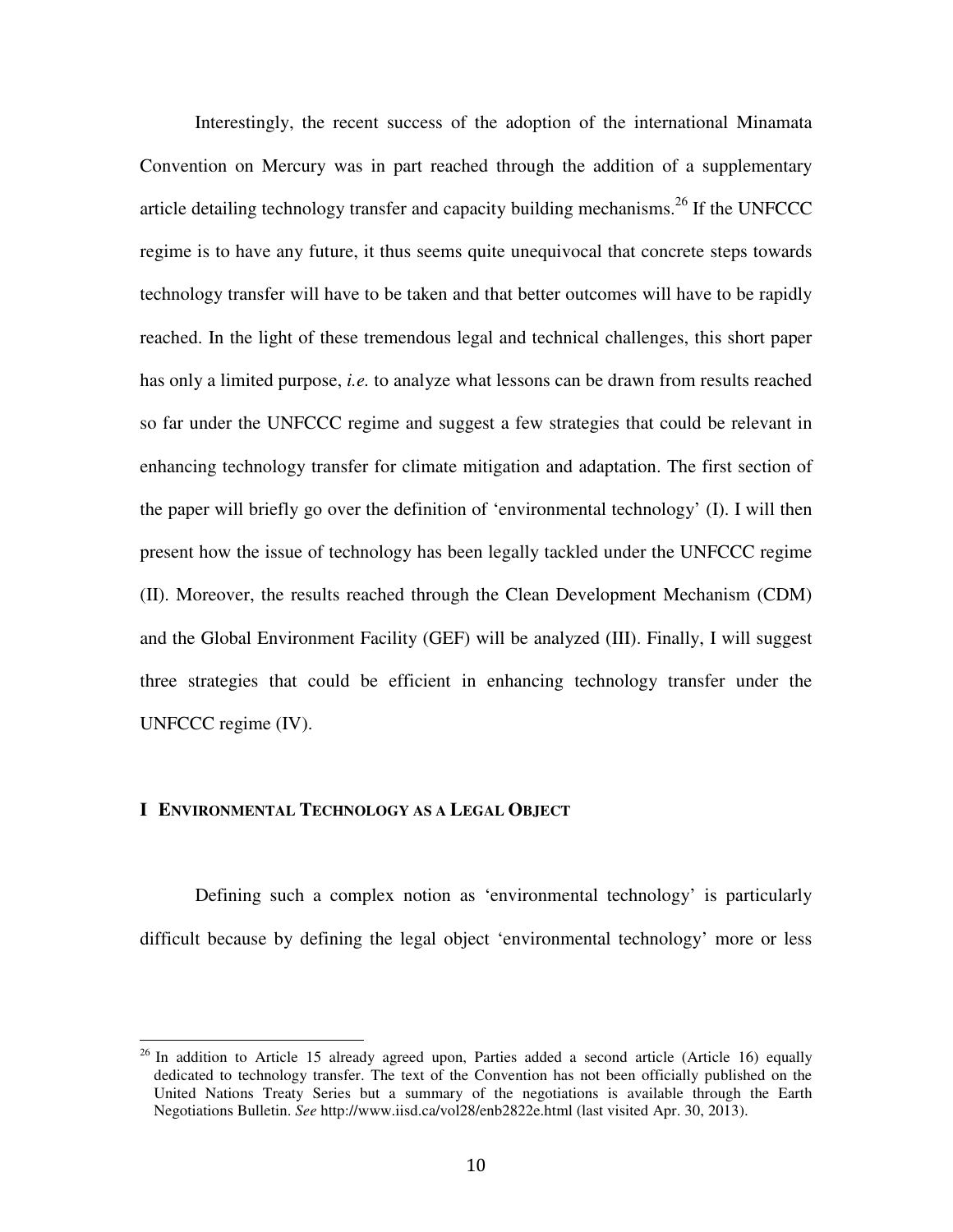Interestingly, the recent success of the adoption of the international Minamata Convention on Mercury was in part reached through the addition of a supplementary article detailing technology transfer and capacity building mechanisms.<sup>26</sup> If the UNFCCC regime is to have any future, it thus seems quite unequivocal that concrete steps towards technology transfer will have to be taken and that better outcomes will have to be rapidly reached. In the light of these tremendous legal and technical challenges, this short paper has only a limited purpose, *i.e.* to analyze what lessons can be drawn from results reached so far under the UNFCCC regime and suggest a few strategies that could be relevant in enhancing technology transfer for climate mitigation and adaptation. The first section of the paper will briefly go over the definition of 'environmental technology' (I). I will then present how the issue of technology has been legally tackled under the UNFCCC regime (II). Moreover, the results reached through the Clean Development Mechanism (CDM) and the Global Environment Facility (GEF) will be analyzed (III). Finally, I will suggest three strategies that could be efficient in enhancing technology transfer under the UNFCCC regime (IV).

# **I ENVIRONMENTAL TECHNOLOGY AS A LEGAL OBJECT**

 $\overline{a}$ 

Defining such a complex notion as 'environmental technology' is particularly difficult because by defining the legal object 'environmental technology' more or less

 $26$  In addition to Article 15 already agreed upon, Parties added a second article (Article 16) equally dedicated to technology transfer. The text of the Convention has not been officially published on the United Nations Treaty Series but a summary of the negotiations is available through the Earth Negotiations Bulletin. *See* http://www.iisd.ca/vol28/enb2822e.html (last visited Apr. 30, 2013).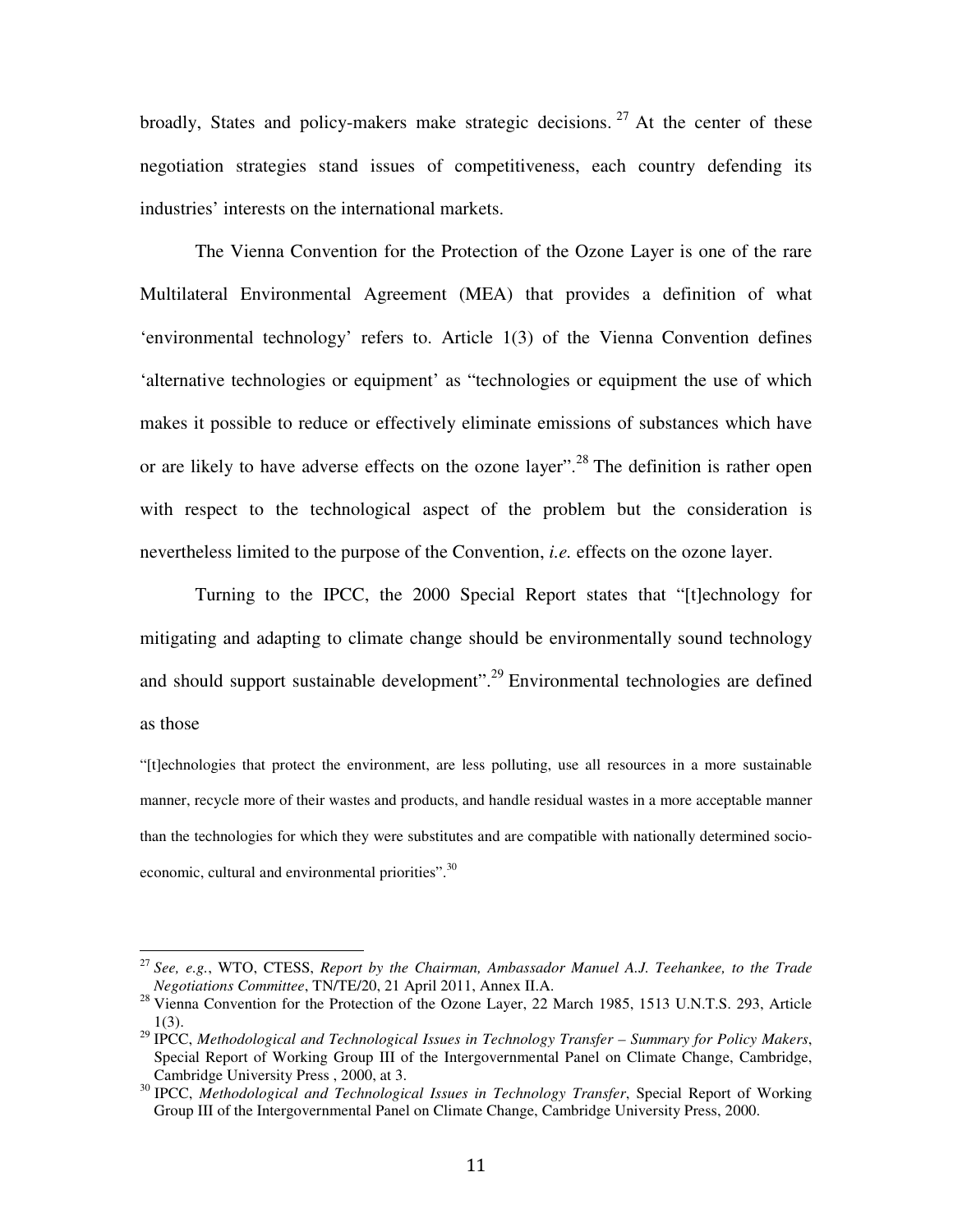broadly, States and policy-makers make strategic decisions.<sup>27</sup> At the center of these negotiation strategies stand issues of competitiveness, each country defending its industries' interests on the international markets.

The Vienna Convention for the Protection of the Ozone Layer is one of the rare Multilateral Environmental Agreement (MEA) that provides a definition of what 'environmental technology' refers to. Article 1(3) of the Vienna Convention defines 'alternative technologies or equipment' as "technologies or equipment the use of which makes it possible to reduce or effectively eliminate emissions of substances which have or are likely to have adverse effects on the ozone layer".<sup>28</sup> The definition is rather open with respect to the technological aspect of the problem but the consideration is nevertheless limited to the purpose of the Convention, *i.e.* effects on the ozone layer.

Turning to the IPCC, the 2000 Special Report states that "[t]echnology for mitigating and adapting to climate change should be environmentally sound technology and should support sustainable development".<sup>29</sup> Environmental technologies are defined as those

"[t]echnologies that protect the environment, are less polluting, use all resources in a more sustainable manner, recycle more of their wastes and products, and handle residual wastes in a more acceptable manner than the technologies for which they were substitutes and are compatible with nationally determined socioeconomic, cultural and environmental priorities".<sup>30</sup>

<sup>27</sup> *See, e.g.*, WTO, CTESS, *Report by the Chairman, Ambassador Manuel A.J. Teehankee, to the Trade Negotiations Committee*, TN/TE/20, 21 April 2011, Annex II.A.

<sup>&</sup>lt;sup>28</sup> Vienna Convention for the Protection of the Ozone Layer, 22 March 1985, 1513 U.N.T.S. 293, Article 1(3).

<sup>29</sup> IPCC, *Methodological and Technological Issues in Technology Transfer – Summary for Policy Makers*, Special Report of Working Group III of the Intergovernmental Panel on Climate Change, Cambridge, Cambridge University Press , 2000, at 3.

<sup>30</sup> IPCC, *Methodological and Technological Issues in Technology Transfer*, Special Report of Working Group III of the Intergovernmental Panel on Climate Change, Cambridge University Press, 2000.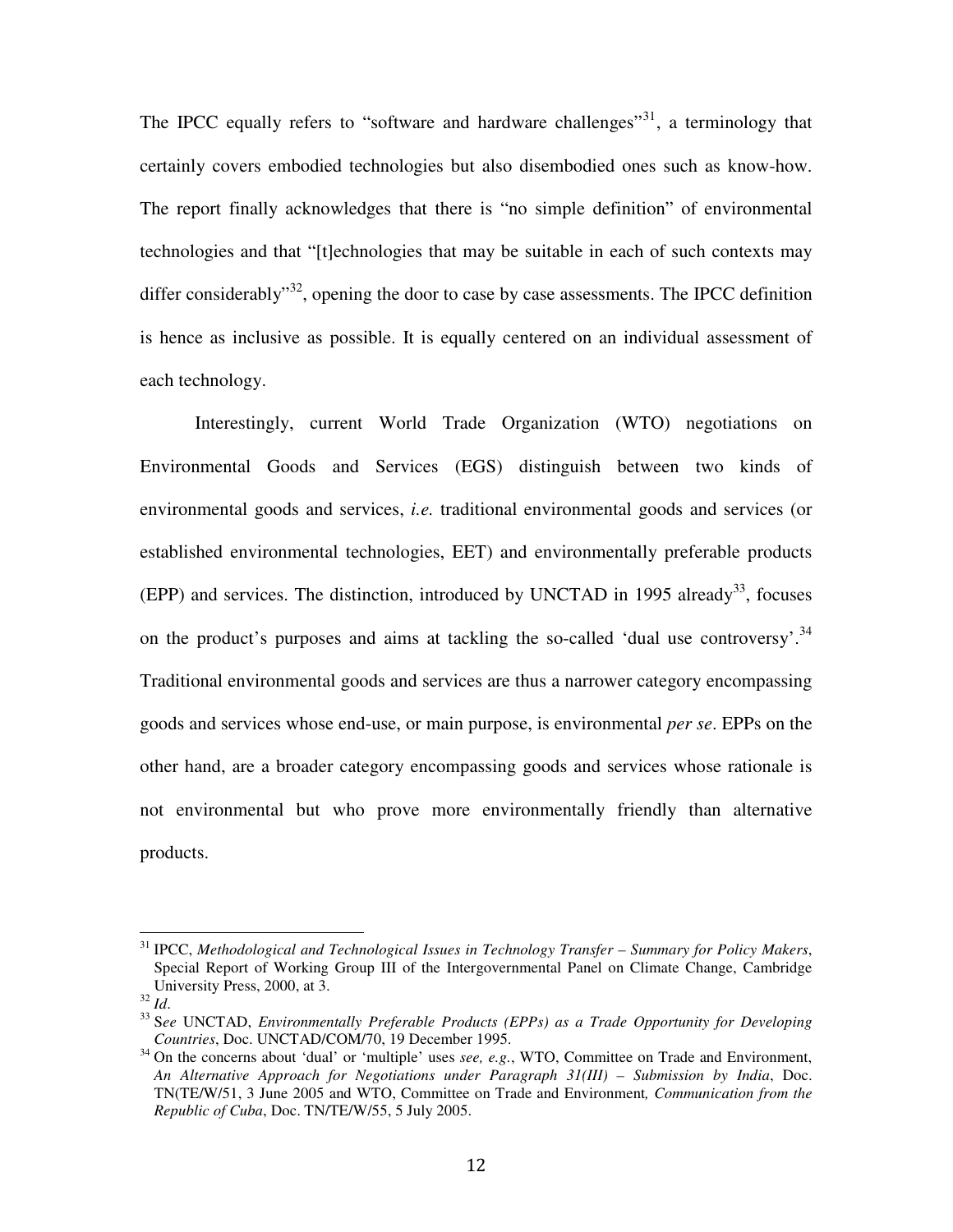The IPCC equally refers to "software and hardware challenges"<sup>31</sup>, a terminology that certainly covers embodied technologies but also disembodied ones such as know-how. The report finally acknowledges that there is "no simple definition" of environmental technologies and that "[t]echnologies that may be suitable in each of such contexts may differ considerably"<sup>32</sup>, opening the door to case by case assessments. The IPCC definition is hence as inclusive as possible. It is equally centered on an individual assessment of each technology.

Interestingly, current World Trade Organization (WTO) negotiations on Environmental Goods and Services (EGS) distinguish between two kinds of environmental goods and services, *i.e.* traditional environmental goods and services (or established environmental technologies, EET) and environmentally preferable products (EPP) and services. The distinction, introduced by UNCTAD in 1995 already<sup>33</sup>, focuses on the product's purposes and aims at tackling the so-called 'dual use controversy'.<sup>34</sup> Traditional environmental goods and services are thus a narrower category encompassing goods and services whose end-use, or main purpose, is environmental *per se*. EPPs on the other hand, are a broader category encompassing goods and services whose rationale is not environmental but who prove more environmentally friendly than alternative products.

<sup>31</sup> IPCC, *Methodological and Technological Issues in Technology Transfer – Summary for Policy Makers*, Special Report of Working Group III of the Intergovernmental Panel on Climate Change, Cambridge University Press, 2000, at 3.

<sup>32</sup> *Id*.

<sup>33</sup> S*ee* UNCTAD, *Environmentally Preferable Products (EPPs) as a Trade Opportunity for Developing Countries*, Doc. UNCTAD/COM/70, 19 December 1995.

<sup>&</sup>lt;sup>34</sup> On the concerns about 'dual' or 'multiple' uses *see, e.g.*, WTO, Committee on Trade and Environment, *An Alternative Approach for Negotiations under Paragraph 31(III) – Submission by India*, Doc. TN(TE/W/51, 3 June 2005 and WTO, Committee on Trade and Environment*, Communication from the Republic of Cuba*, Doc. TN/TE/W/55, 5 July 2005.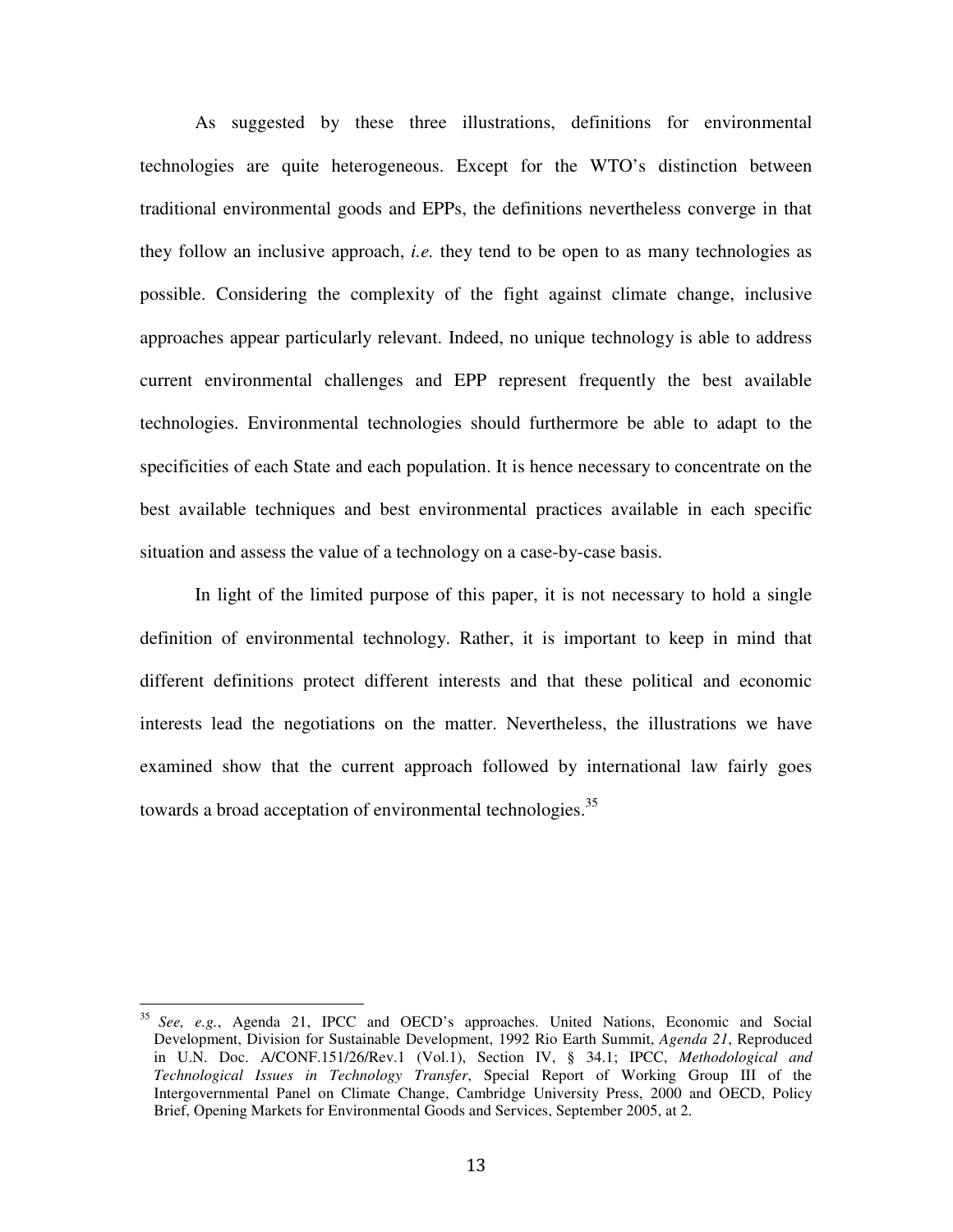As suggested by these three illustrations, definitions for environmental technologies are quite heterogeneous. Except for the WTO's distinction between traditional environmental goods and EPPs, the definitions nevertheless converge in that they follow an inclusive approach, *i.e.* they tend to be open to as many technologies as possible. Considering the complexity of the fight against climate change, inclusive approaches appear particularly relevant. Indeed, no unique technology is able to address current environmental challenges and EPP represent frequently the best available technologies. Environmental technologies should furthermore be able to adapt to the specificities of each State and each population. It is hence necessary to concentrate on the best available techniques and best environmental practices available in each specific situation and assess the value of a technology on a case-by-case basis.

In light of the limited purpose of this paper, it is not necessary to hold a single definition of environmental technology. Rather, it is important to keep in mind that different definitions protect different interests and that these political and economic interests lead the negotiations on the matter. Nevertheless, the illustrations we have examined show that the current approach followed by international law fairly goes towards a broad acceptation of environmental technologies.<sup>35</sup>

<sup>35</sup> *See, e.g.*, Agenda 21, IPCC and OECD's approaches. United Nations, Economic and Social Development, Division for Sustainable Development, 1992 Rio Earth Summit, *Agenda 21*, Reproduced in U.N. Doc. A/CONF.151/26/Rev.1 (Vol.1), Section IV, § 34.1; IPCC, *Methodological and Technological Issues in Technology Transfer*, Special Report of Working Group III of the Intergovernmental Panel on Climate Change, Cambridge University Press, 2000 and OECD, Policy Brief, Opening Markets for Environmental Goods and Services, September 2005, at 2.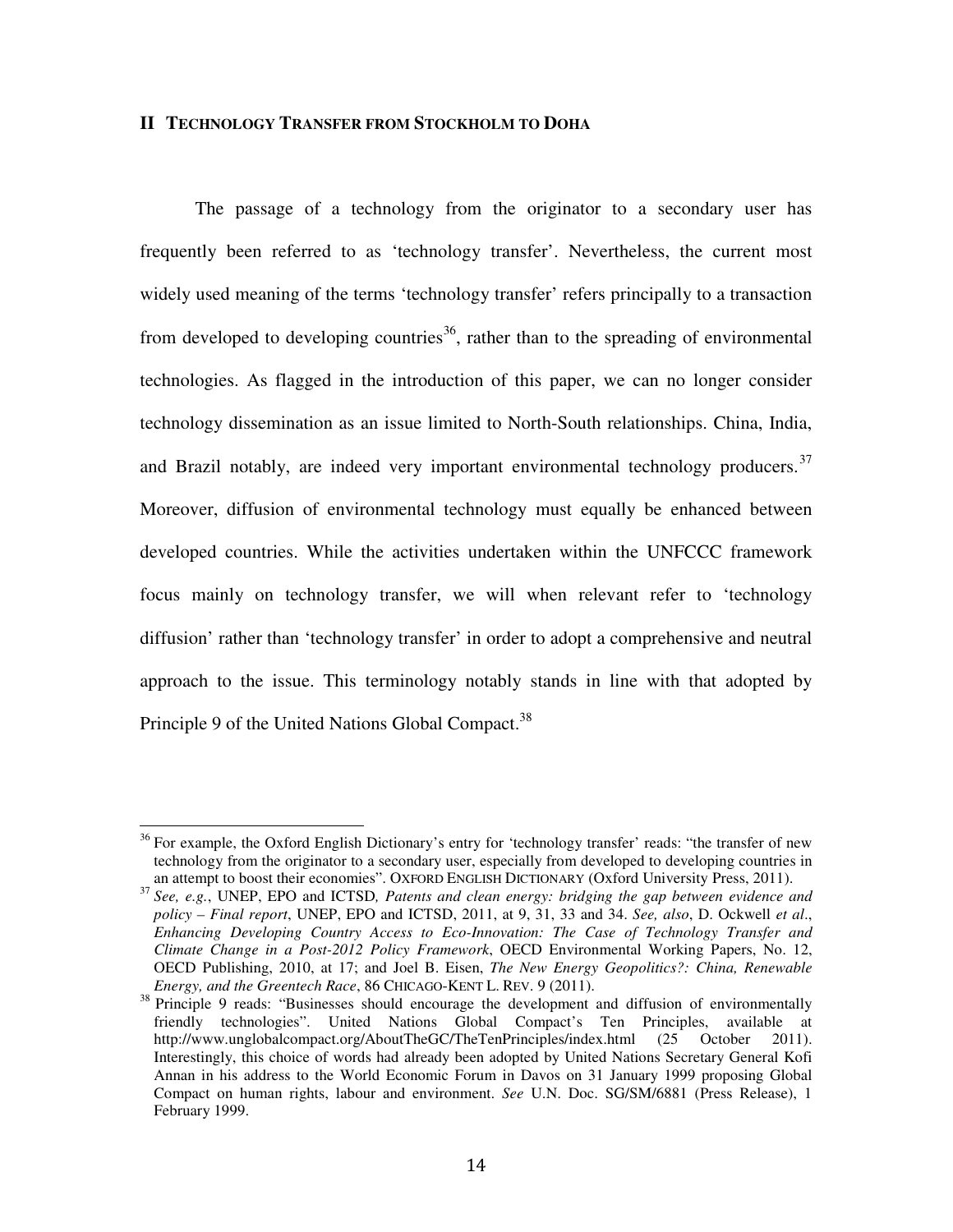### **II TECHNOLOGY TRANSFER FROM STOCKHOLM TO DOHA**

The passage of a technology from the originator to a secondary user has frequently been referred to as 'technology transfer'. Nevertheless, the current most widely used meaning of the terms 'technology transfer' refers principally to a transaction from developed to developing countries<sup>36</sup>, rather than to the spreading of environmental technologies. As flagged in the introduction of this paper, we can no longer consider technology dissemination as an issue limited to North-South relationships. China, India, and Brazil notably, are indeed very important environmental technology producers.<sup>37</sup> Moreover, diffusion of environmental technology must equally be enhanced between developed countries. While the activities undertaken within the UNFCCC framework focus mainly on technology transfer, we will when relevant refer to 'technology diffusion' rather than 'technology transfer' in order to adopt a comprehensive and neutral approach to the issue. This terminology notably stands in line with that adopted by Principle 9 of the United Nations Global Compact.<sup>38</sup>

 $36$  For example, the Oxford English Dictionary's entry for 'technology transfer' reads: "the transfer of new technology from the originator to a secondary user, especially from developed to developing countries in an attempt to boost their economies". OXFORD ENGLISH DICTIONARY (Oxford University Press, 2011).

<sup>37</sup> *See, e.g.*, UNEP, EPO and ICTSD*, Patents and clean energy: bridging the gap between evidence and policy – Final report*, UNEP, EPO and ICTSD, 2011, at 9, 31, 33 and 34. *See, also*, D. Ockwell *et al*., *Enhancing Developing Country Access to Eco-Innovation: The Case of Technology Transfer and Climate Change in a Post-2012 Policy Framework*, OECD Environmental Working Papers, No. 12, OECD Publishing, 2010, at 17; and Joel B. Eisen, *The New Energy Geopolitics?: China, Renewable Energy, and the Greentech Race*, 86 CHICAGO-KENT L. REV. 9 (2011).

<sup>&</sup>lt;sup>38</sup> Principle 9 reads: "Businesses should encourage the development and diffusion of environmentally friendly technologies". United Nations Global Compact's Ten Principles, available at http://www.unglobalcompact.org/AboutTheGC/TheTenPrinciples/index.html (25 October 2011). Interestingly, this choice of words had already been adopted by United Nations Secretary General Kofi Annan in his address to the World Economic Forum in Davos on 31 January 1999 proposing Global Compact on human rights, labour and environment. *See* U.N. Doc. SG/SM/6881 (Press Release), 1 February 1999.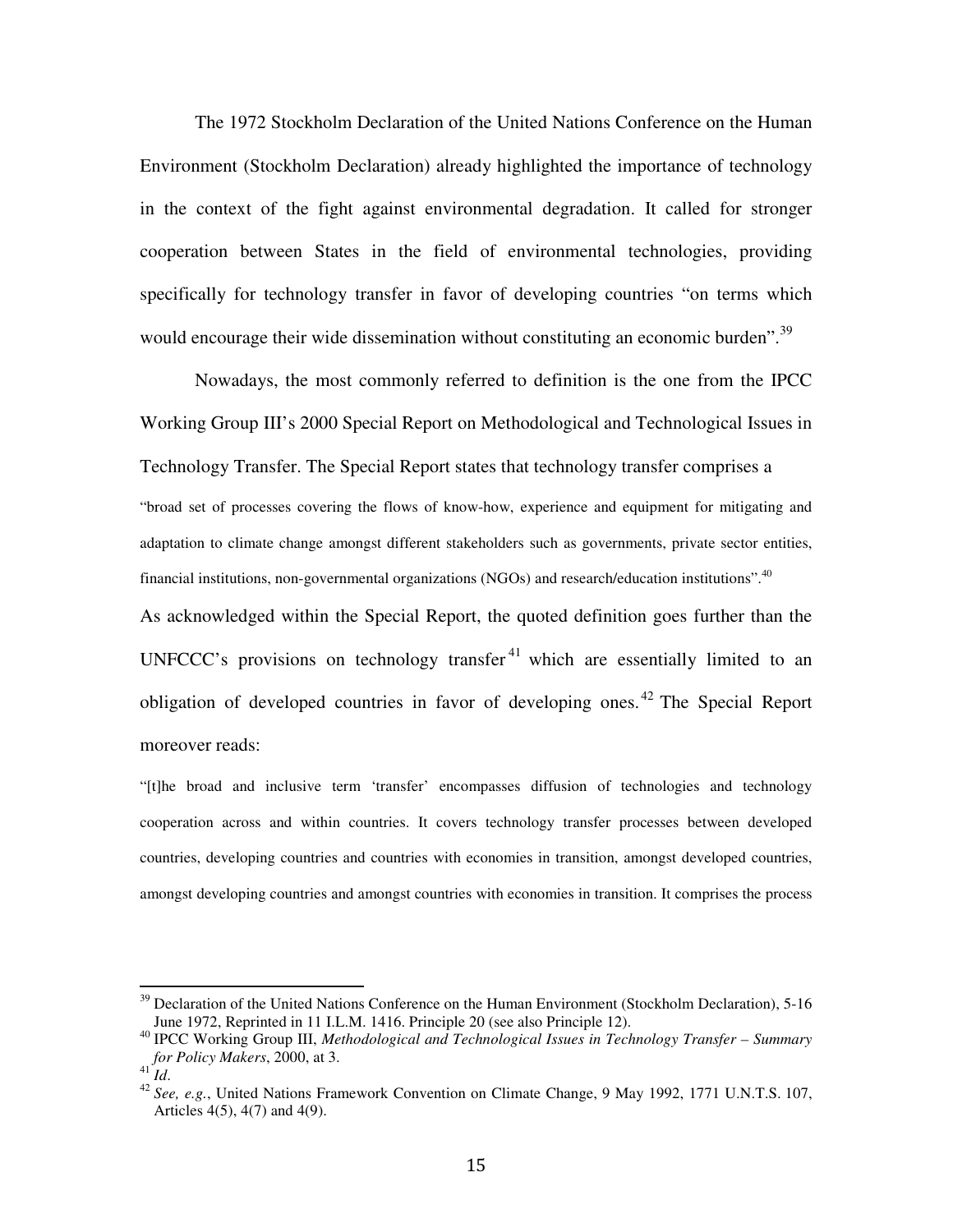The 1972 Stockholm Declaration of the United Nations Conference on the Human Environment (Stockholm Declaration) already highlighted the importance of technology in the context of the fight against environmental degradation. It called for stronger cooperation between States in the field of environmental technologies, providing specifically for technology transfer in favor of developing countries "on terms which would encourage their wide dissemination without constituting an economic burden".<sup>39</sup>

Nowadays, the most commonly referred to definition is the one from the IPCC Working Group III's 2000 Special Report on Methodological and Technological Issues in Technology Transfer. The Special Report states that technology transfer comprises a "broad set of processes covering the flows of know-how, experience and equipment for mitigating and adaptation to climate change amongst different stakeholders such as governments, private sector entities, financial institutions, non-governmental organizations (NGOs) and research/education institutions".<sup>40</sup> As acknowledged within the Special Report, the quoted definition goes further than the UNFCCC's provisions on technology transfer<sup>41</sup> which are essentially limited to an obligation of developed countries in favor of developing ones.<sup>42</sup> The Special Report moreover reads:

"[t]he broad and inclusive term 'transfer' encompasses diffusion of technologies and technology cooperation across and within countries. It covers technology transfer processes between developed countries, developing countries and countries with economies in transition, amongst developed countries, amongst developing countries and amongst countries with economies in transition. It comprises the process

<sup>&</sup>lt;sup>39</sup> Declaration of the United Nations Conference on the Human Environment (Stockholm Declaration), 5-16 June 1972, Reprinted in 11 I.L.M. 1416. Principle 20 (see also Principle 12).

<sup>40</sup> IPCC Working Group III, *Methodological and Technological Issues in Technology Transfer – Summary for Policy Makers*, 2000, at 3.

<sup>41</sup> *Id*.

<sup>42</sup> *See, e.g.*, United Nations Framework Convention on Climate Change, 9 May 1992, 1771 U.N.T.S. 107, Articles 4(5), 4(7) and 4(9).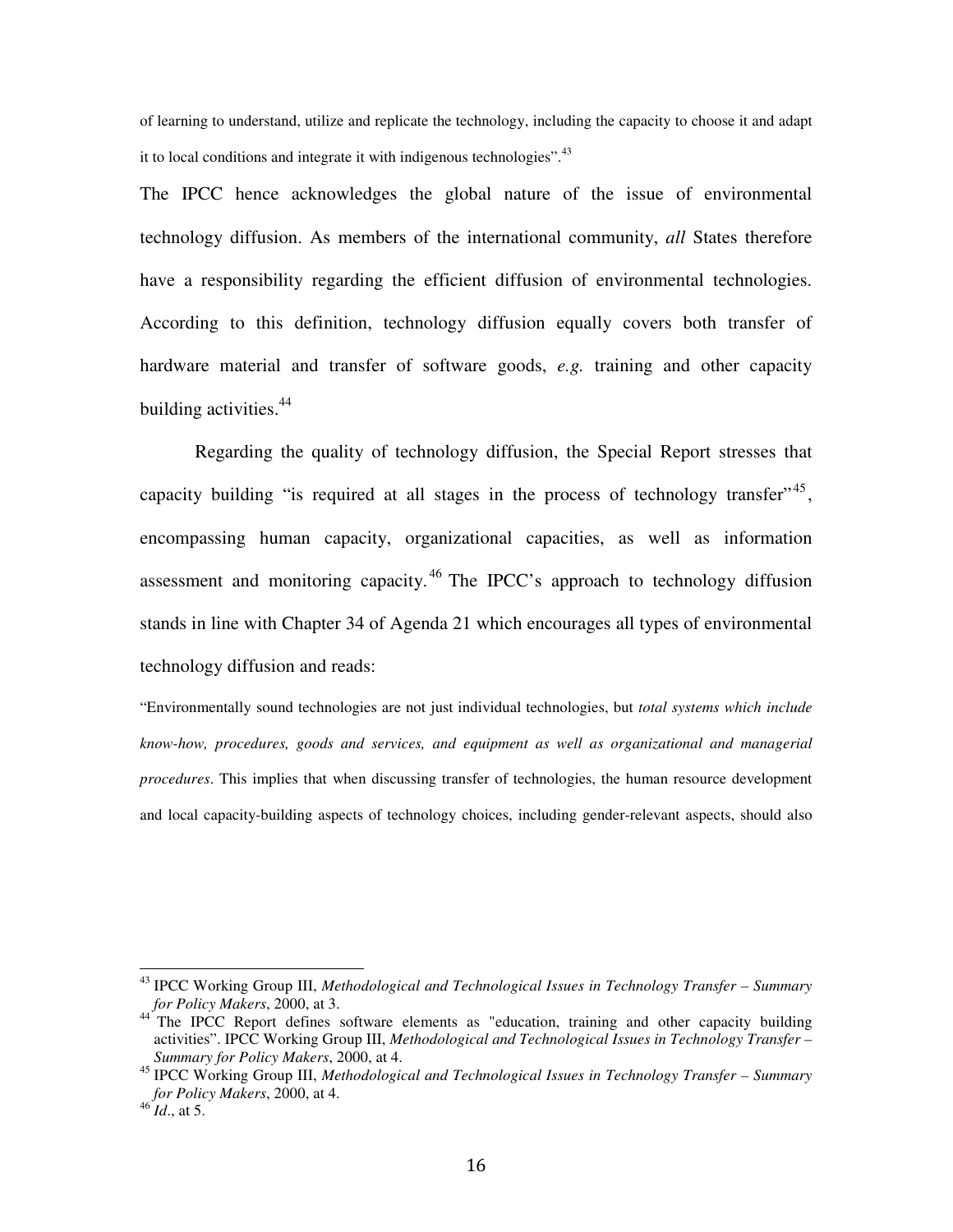of learning to understand, utilize and replicate the technology, including the capacity to choose it and adapt it to local conditions and integrate it with indigenous technologies".<sup>43</sup>

The IPCC hence acknowledges the global nature of the issue of environmental technology diffusion. As members of the international community, *all* States therefore have a responsibility regarding the efficient diffusion of environmental technologies. According to this definition, technology diffusion equally covers both transfer of hardware material and transfer of software goods, *e.g.* training and other capacity building activities.<sup>44</sup>

Regarding the quality of technology diffusion, the Special Report stresses that capacity building "is required at all stages in the process of technology transfer",  $45$ , encompassing human capacity, organizational capacities, as well as information assessment and monitoring capacity. <sup>46</sup> The IPCC's approach to technology diffusion stands in line with Chapter 34 of Agenda 21 which encourages all types of environmental technology diffusion and reads:

"Environmentally sound technologies are not just individual technologies, but *total systems which include know-how, procedures, goods and services, and equipment as well as organizational and managerial procedures*. This implies that when discussing transfer of technologies, the human resource development and local capacity-building aspects of technology choices, including gender-relevant aspects, should also

 $\overline{\phantom{a}}$ 

<sup>43</sup> IPCC Working Group III, *Methodological and Technological Issues in Technology Transfer – Summary for Policy Makers*, 2000, at 3.

<sup>&</sup>lt;sup>44</sup> The IPCC Report defines software elements as "education, training and other capacity building activities". IPCC Working Group III, *Methodological and Technological Issues in Technology Transfer – Summary for Policy Makers*, 2000, at 4.

<sup>45</sup> IPCC Working Group III, *Methodological and Technological Issues in Technology Transfer – Summary for Policy Makers*, 2000, at 4.

<sup>46</sup> *Id*., at 5.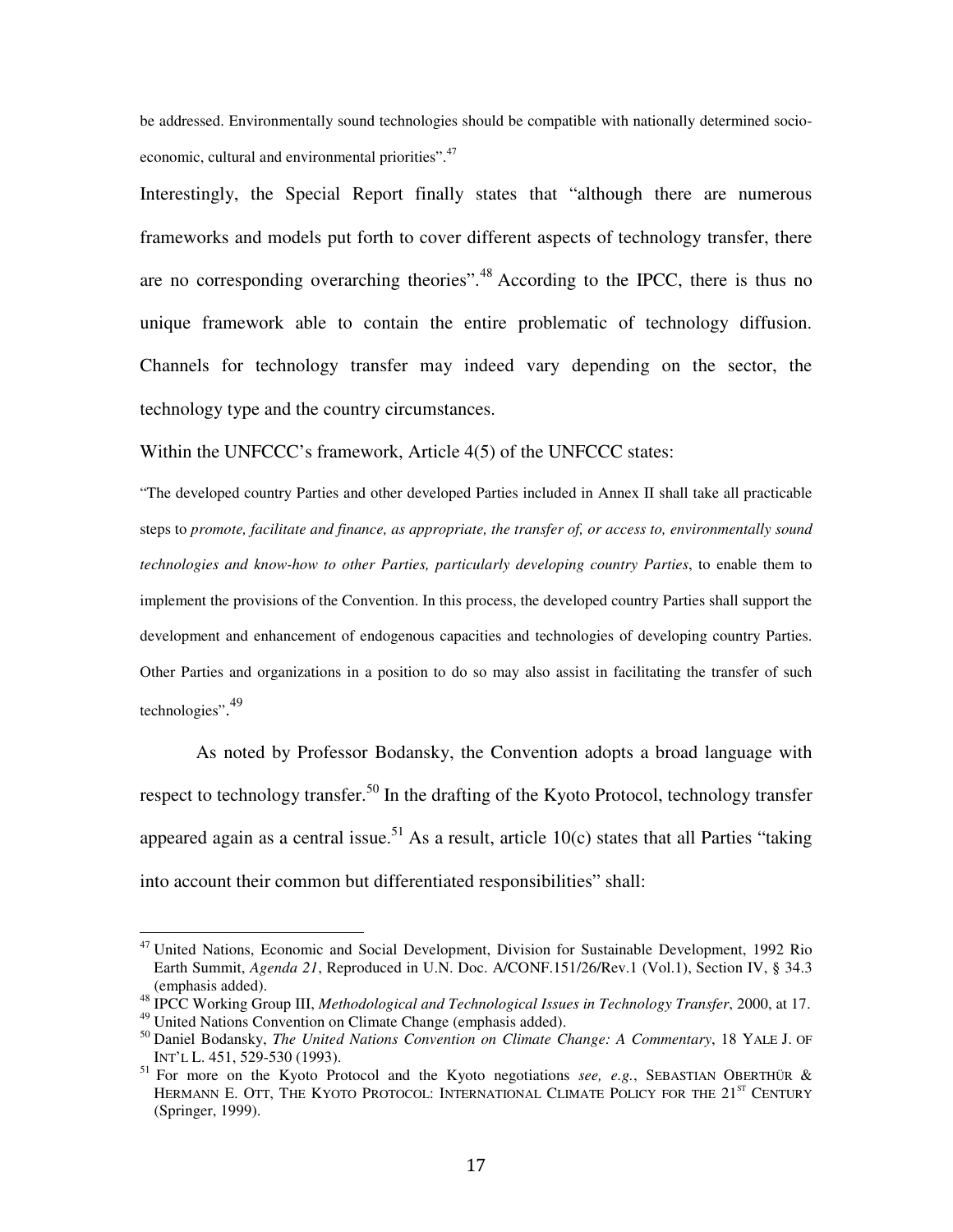be addressed. Environmentally sound technologies should be compatible with nationally determined socioeconomic, cultural and environmental priorities".<sup>47</sup>

Interestingly, the Special Report finally states that "although there are numerous frameworks and models put forth to cover different aspects of technology transfer, there are no corresponding overarching theories".<sup>48</sup> According to the IPCC, there is thus no unique framework able to contain the entire problematic of technology diffusion. Channels for technology transfer may indeed vary depending on the sector, the technology type and the country circumstances.

Within the UNFCCC's framework, Article 4(5) of the UNFCCC states:

"The developed country Parties and other developed Parties included in Annex II shall take all practicable steps to *promote, facilitate and finance, as appropriate, the transfer of, or access to, environmentally sound technologies and know-how to other Parties, particularly developing country Parties*, to enable them to implement the provisions of the Convention. In this process, the developed country Parties shall support the development and enhancement of endogenous capacities and technologies of developing country Parties. Other Parties and organizations in a position to do so may also assist in facilitating the transfer of such technologies". 49

As noted by Professor Bodansky, the Convention adopts a broad language with respect to technology transfer.<sup>50</sup> In the drafting of the Kyoto Protocol, technology transfer appeared again as a central issue.<sup>51</sup> As a result, article 10(c) states that all Parties "taking into account their common but differentiated responsibilities" shall:

<sup>&</sup>lt;sup>47</sup> United Nations, Economic and Social Development, Division for Sustainable Development, 1992 Rio Earth Summit, *Agenda 21*, Reproduced in U.N. Doc. A/CONF.151/26/Rev.1 (Vol.1), Section IV, § 34.3 (emphasis added).

<sup>48</sup> IPCC Working Group III, *Methodological and Technological Issues in Technology Transfer*, 2000, at 17.

<sup>49</sup> United Nations Convention on Climate Change (emphasis added).

<sup>50</sup> Daniel Bodansky, *The United Nations Convention on Climate Change: A Commentary*, 18 YALE J. OF INT'L L. 451, 529-530 (1993).

<sup>51</sup> For more on the Kyoto Protocol and the Kyoto negotiations *see, e.g.*, SEBASTIAN OBERTHÜR & HERMANN E. OTT, THE KYOTO PROTOCOL: INTERNATIONAL CLIMATE POLICY FOR THE 21<sup>ST</sup> CENTURY (Springer, 1999).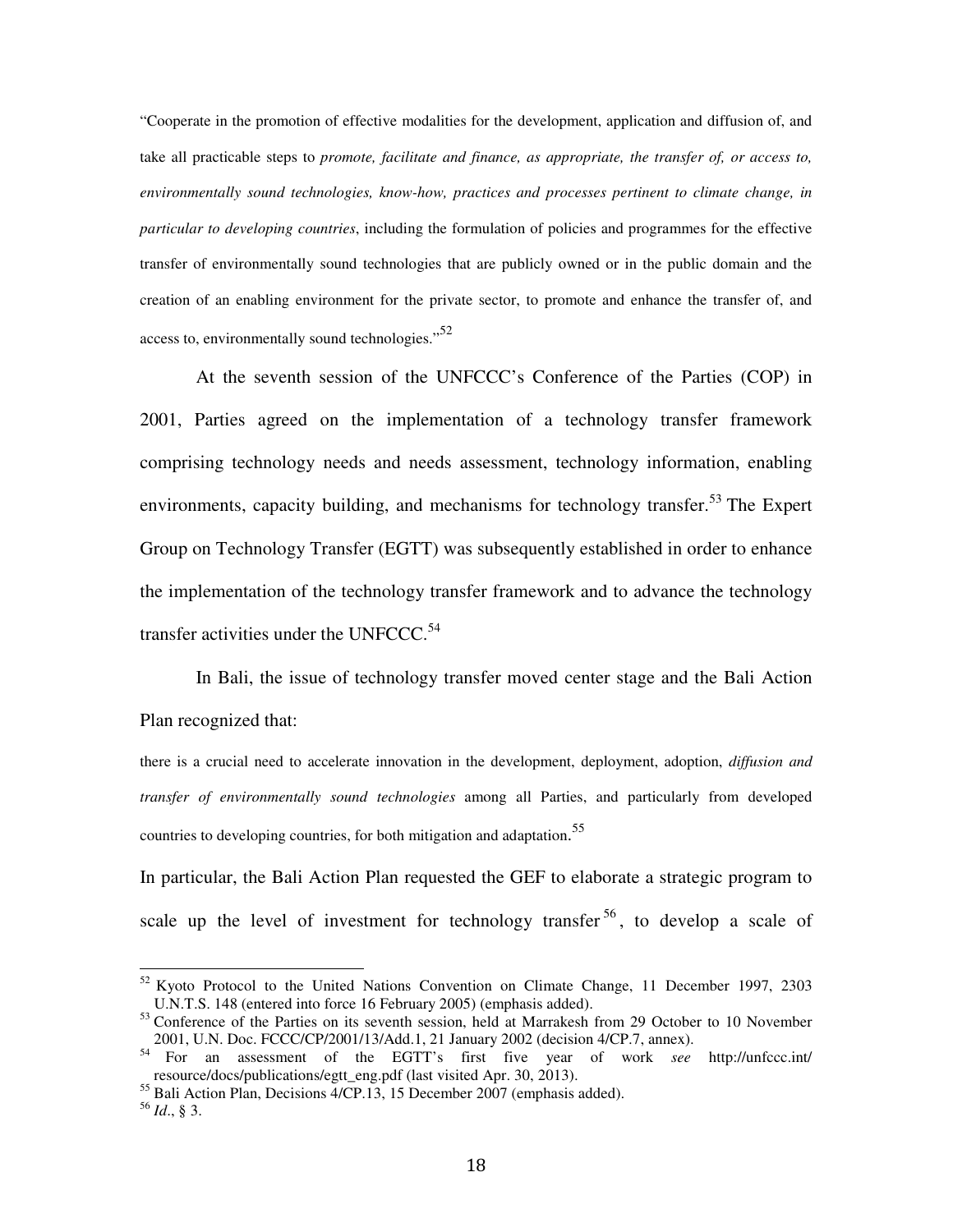"Cooperate in the promotion of effective modalities for the development, application and diffusion of, and take all practicable steps to *promote, facilitate and finance, as appropriate, the transfer of, or access to, environmentally sound technologies, know-how, practices and processes pertinent to climate change, in particular to developing countries*, including the formulation of policies and programmes for the effective transfer of environmentally sound technologies that are publicly owned or in the public domain and the creation of an enabling environment for the private sector, to promote and enhance the transfer of, and access to, environmentally sound technologies. $^{52}$ 

 At the seventh session of the UNFCCC's Conference of the Parties (COP) in 2001, Parties agreed on the implementation of a technology transfer framework comprising technology needs and needs assessment, technology information, enabling environments, capacity building, and mechanisms for technology transfer.<sup>53</sup> The Expert Group on Technology Transfer (EGTT) was subsequently established in order to enhance the implementation of the technology transfer framework and to advance the technology transfer activities under the UNFCCC. $54$ 

In Bali, the issue of technology transfer moved center stage and the Bali Action Plan recognized that:

there is a crucial need to accelerate innovation in the development, deployment, adoption, *diffusion and transfer of environmentally sound technologies* among all Parties, and particularly from developed countries to developing countries, for both mitigation and adaptation.<sup>55</sup>

In particular, the Bali Action Plan requested the GEF to elaborate a strategic program to scale up the level of investment for technology transfer  $56$ , to develop a scale of

 $52$  Kyoto Protocol to the United Nations Convention on Climate Change, 11 December 1997, 2303 U.N.T.S. 148 (entered into force 16 February 2005) (emphasis added).

<sup>&</sup>lt;sup>53</sup> Conference of the Parties on its seventh session, held at Marrakesh from 29 October to 10 November 2001, U.N. Doc. FCCC/CP/2001/13/Add.1, 21 January 2002 (decision 4/CP.7, annex).

<sup>54</sup> For an assessment of the EGTT's first five year of work *see* http://unfccc.int/ resource/docs/publications/egtt\_eng.pdf (last visited Apr. 30, 2013).

 $55$  Bali Action Plan, Decisions  $4$ /CP.13, 15 December 2007 (emphasis added).

<sup>56</sup> *Id*., § 3.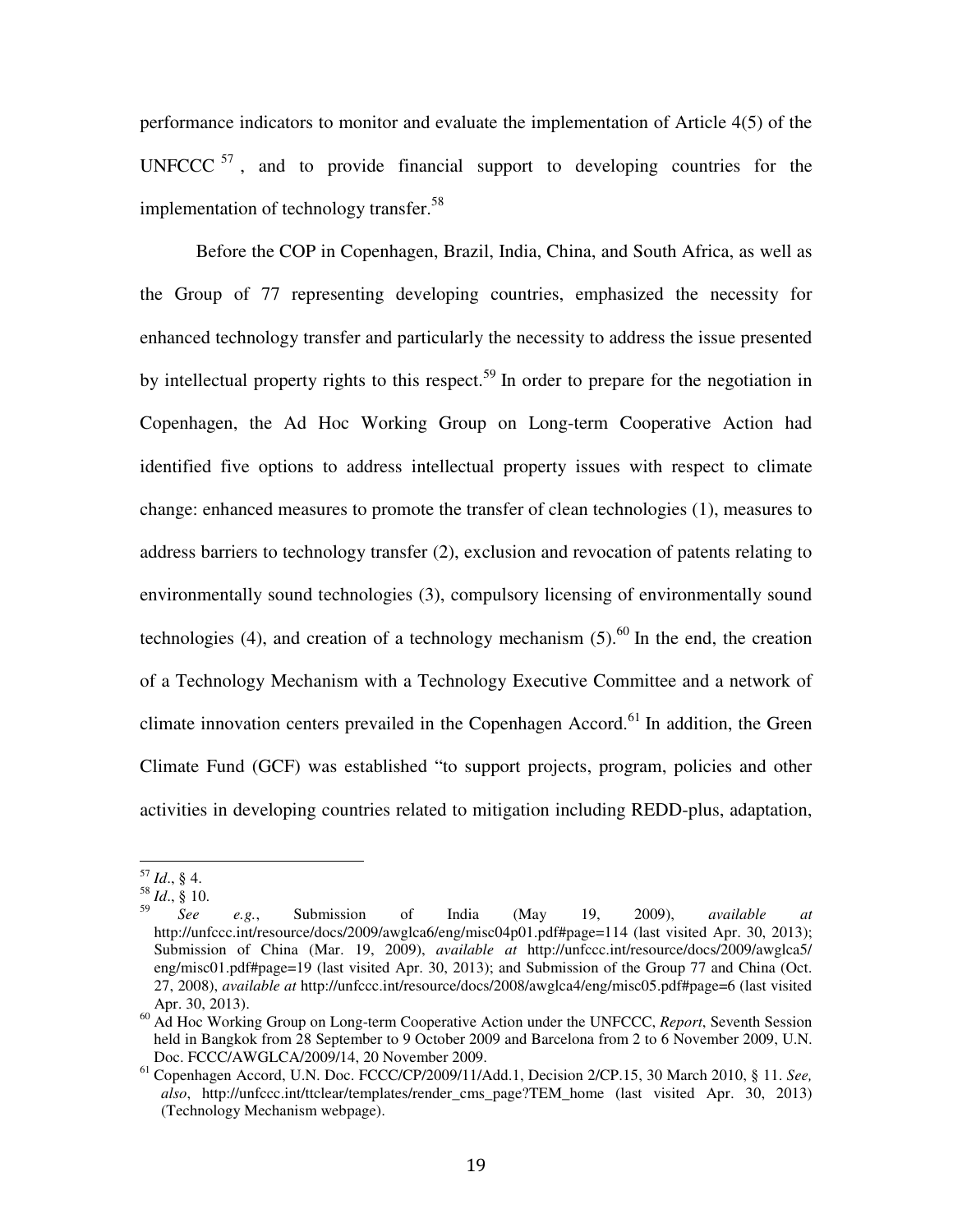performance indicators to monitor and evaluate the implementation of Article 4(5) of the UNFCCC  $57$ , and to provide financial support to developing countries for the implementation of technology transfer.<sup>58</sup>

 Before the COP in Copenhagen, Brazil, India, China, and South Africa, as well as the Group of 77 representing developing countries, emphasized the necessity for enhanced technology transfer and particularly the necessity to address the issue presented by intellectual property rights to this respect.<sup>59</sup> In order to prepare for the negotiation in Copenhagen, the Ad Hoc Working Group on Long-term Cooperative Action had identified five options to address intellectual property issues with respect to climate change: enhanced measures to promote the transfer of clean technologies (1), measures to address barriers to technology transfer (2), exclusion and revocation of patents relating to environmentally sound technologies (3), compulsory licensing of environmentally sound technologies (4), and creation of a technology mechanism  $(5)$ .<sup>60</sup> In the end, the creation of a Technology Mechanism with a Technology Executive Committee and a network of climate innovation centers prevailed in the Copenhagen Accord.<sup>61</sup> In addition, the Green Climate Fund (GCF) was established "to support projects, program, policies and other activities in developing countries related to mitigation including REDD-plus, adaptation,

<sup>57</sup> *Id*., § 4.

 $\frac{58}{10}$  *Id.*, § 10.<br> $\frac{59}{100}$ 

<sup>59</sup> *See e.g.*, Submission of India (May 19, 2009), *available at* http://unfccc.int/resource/docs/2009/awglca6/eng/misc04p01.pdf#page=114 (last visited Apr. 30, 2013); Submission of China (Mar. 19, 2009), *available at* http://unfccc.int/resource/docs/2009/awglca5/ eng/misc01.pdf#page=19 (last visited Apr. 30, 2013); and Submission of the Group 77 and China (Oct. 27, 2008), *available at* http://unfccc.int/resource/docs/2008/awglca4/eng/misc05.pdf#page=6 (last visited Apr. 30, 2013).

<sup>60</sup> Ad Hoc Working Group on Long-term Cooperative Action under the UNFCCC, *Report*, Seventh Session held in Bangkok from 28 September to 9 October 2009 and Barcelona from 2 to 6 November 2009, U.N. Doc. FCCC/AWGLCA/2009/14, 20 November 2009.

<sup>61</sup> Copenhagen Accord, U.N. Doc. FCCC/CP/2009/11/Add.1, Decision 2/CP.15, 30 March 2010, § 11. *See, also*, http://unfccc.int/ttclear/templates/render\_cms\_page?TEM\_home (last visited Apr. 30, 2013) (Technology Mechanism webpage).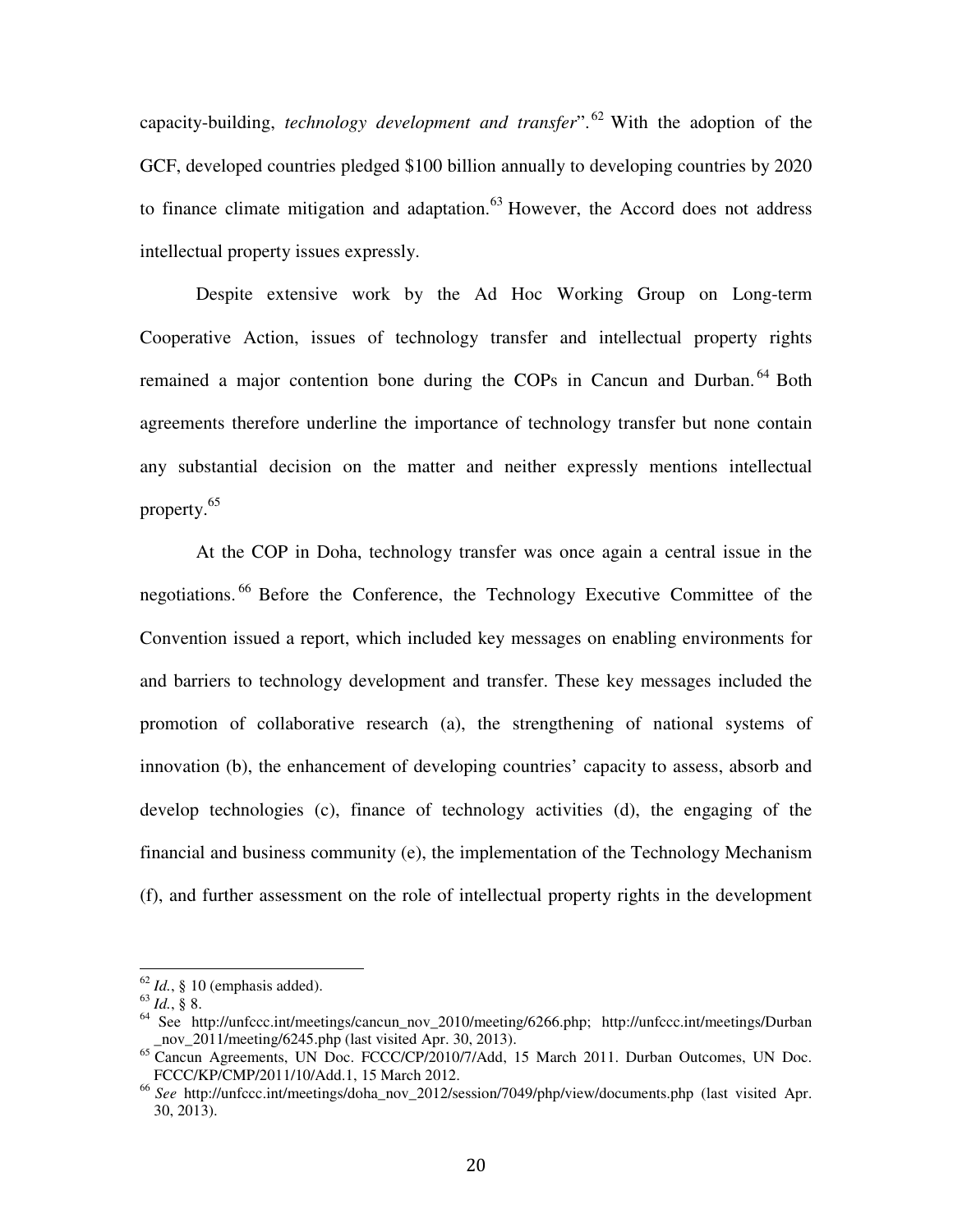capacity-building, *technology development and transfer*". <sup>62</sup> With the adoption of the GCF, developed countries pledged \$100 billion annually to developing countries by 2020 to finance climate mitigation and adaptation. $63$  However, the Accord does not address intellectual property issues expressly.

 Despite extensive work by the Ad Hoc Working Group on Long-term Cooperative Action, issues of technology transfer and intellectual property rights remained a major contention bone during the COPs in Cancun and Durban.<sup>64</sup> Both agreements therefore underline the importance of technology transfer but none contain any substantial decision on the matter and neither expressly mentions intellectual property.<sup>65</sup>

 At the COP in Doha, technology transfer was once again a central issue in the negotiations. <sup>66</sup> Before the Conference, the Technology Executive Committee of the Convention issued a report, which included key messages on enabling environments for and barriers to technology development and transfer. These key messages included the promotion of collaborative research (a), the strengthening of national systems of innovation (b), the enhancement of developing countries' capacity to assess, absorb and develop technologies (c), finance of technology activities (d), the engaging of the financial and business community (e), the implementation of the Technology Mechanism (f), and further assessment on the role of intellectual property rights in the development

 $62$  *Id.*, § 10 (emphasis added).

<sup>63</sup> *Id.*, § 8.

<sup>&</sup>lt;sup>64</sup> See http://unfccc.int/meetings/cancun\_nov\_2010/meeting/6266.php; http://unfccc.int/meetings/Durban nov  $2011/m$ eeting/6245.php (last visited Apr. 30, 2013).

 $^{65}$  Cancun Agreements, UN Doc. FCCC/CP/2010/7/Add, 15 March 2011. Durban Outcomes, UN Doc. FCCC/KP/CMP/2011/10/Add.1, 15 March 2012.

<sup>&</sup>lt;sup>66</sup> See http://unfccc.int/meetings/doha\_nov\_2012/session/7049/php/view/documents.php (last visited Apr. 30, 2013).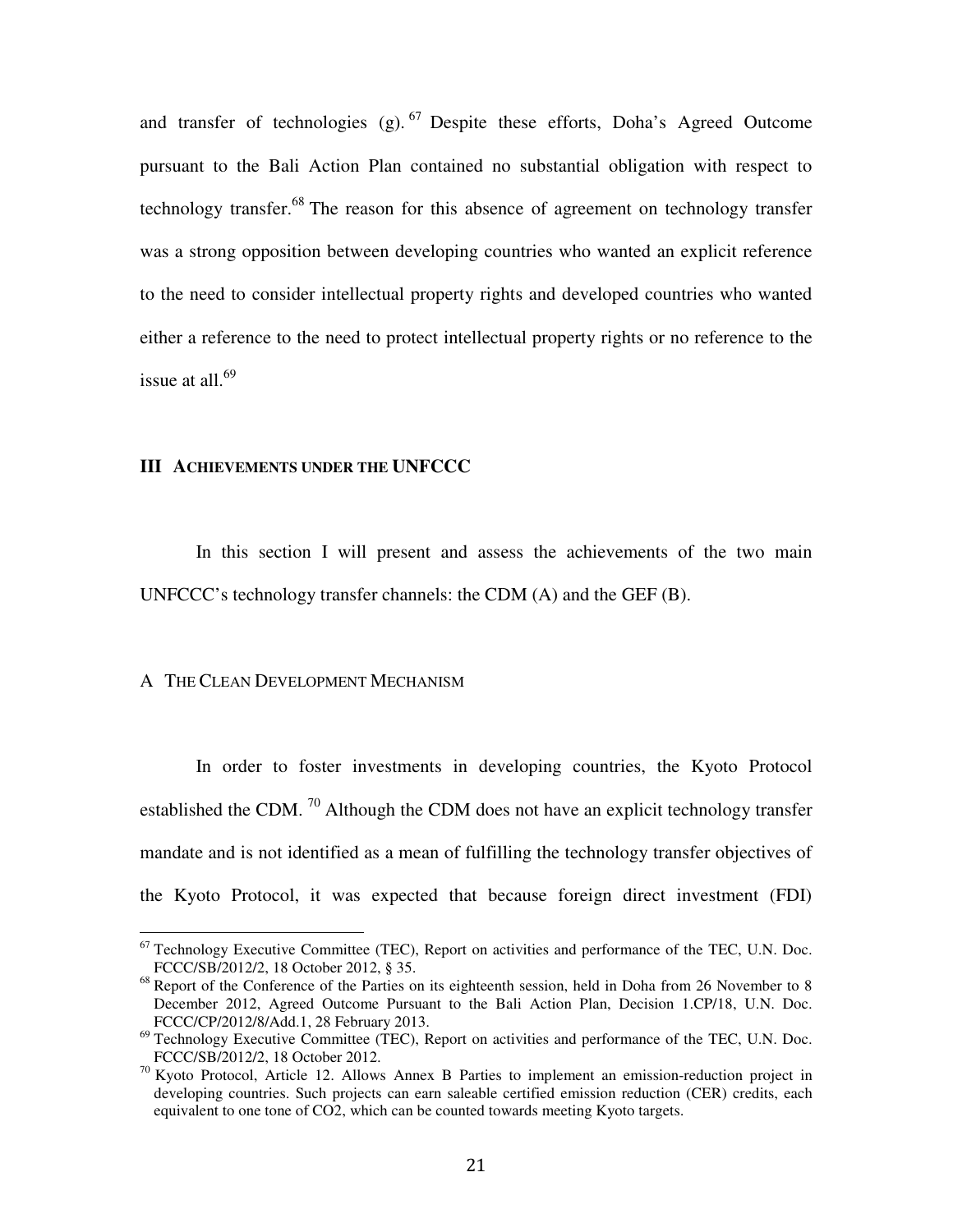and transfer of technologies  $(g)$ . <sup>67</sup> Despite these efforts, Doha's Agreed Outcome pursuant to the Bali Action Plan contained no substantial obligation with respect to technology transfer.<sup>68</sup> The reason for this absence of agreement on technology transfer was a strong opposition between developing countries who wanted an explicit reference to the need to consider intellectual property rights and developed countries who wanted either a reference to the need to protect intellectual property rights or no reference to the issue at all. $69$ 

# **III ACHIEVEMENTS UNDER THE UNFCCC**

In this section I will present and assess the achievements of the two main UNFCCC's technology transfer channels: the CDM (A) and the GEF (B).

#### A THE CLEAN DEVELOPMENT MECHANISM

 $\overline{a}$ 

In order to foster investments in developing countries, the Kyoto Protocol established the CDM.<sup>70</sup> Although the CDM does not have an explicit technology transfer mandate and is not identified as a mean of fulfilling the technology transfer objectives of the Kyoto Protocol, it was expected that because foreign direct investment (FDI)

 $67$  Technology Executive Committee (TEC), Report on activities and performance of the TEC, U.N. Doc. FCCC/SB/2012/2, 18 October 2012, § 35.

<sup>&</sup>lt;sup>68</sup> Report of the Conference of the Parties on its eighteenth session, held in Doha from 26 November to 8 December 2012, Agreed Outcome Pursuant to the Bali Action Plan, Decision 1.CP/18, U.N. Doc. FCCC/CP/2012/8/Add.1, 28 February 2013.

<sup>&</sup>lt;sup>69</sup> Technology Executive Committee (TEC), Report on activities and performance of the TEC, U.N. Doc. FCCC/SB/2012/2, 18 October 2012.

<sup>70</sup> Kyoto Protocol, Article 12. Allows Annex B Parties to implement an emission-reduction project in developing countries. Such projects can earn saleable certified emission reduction (CER) credits, each equivalent to one tone of CO2, which can be counted towards meeting Kyoto targets.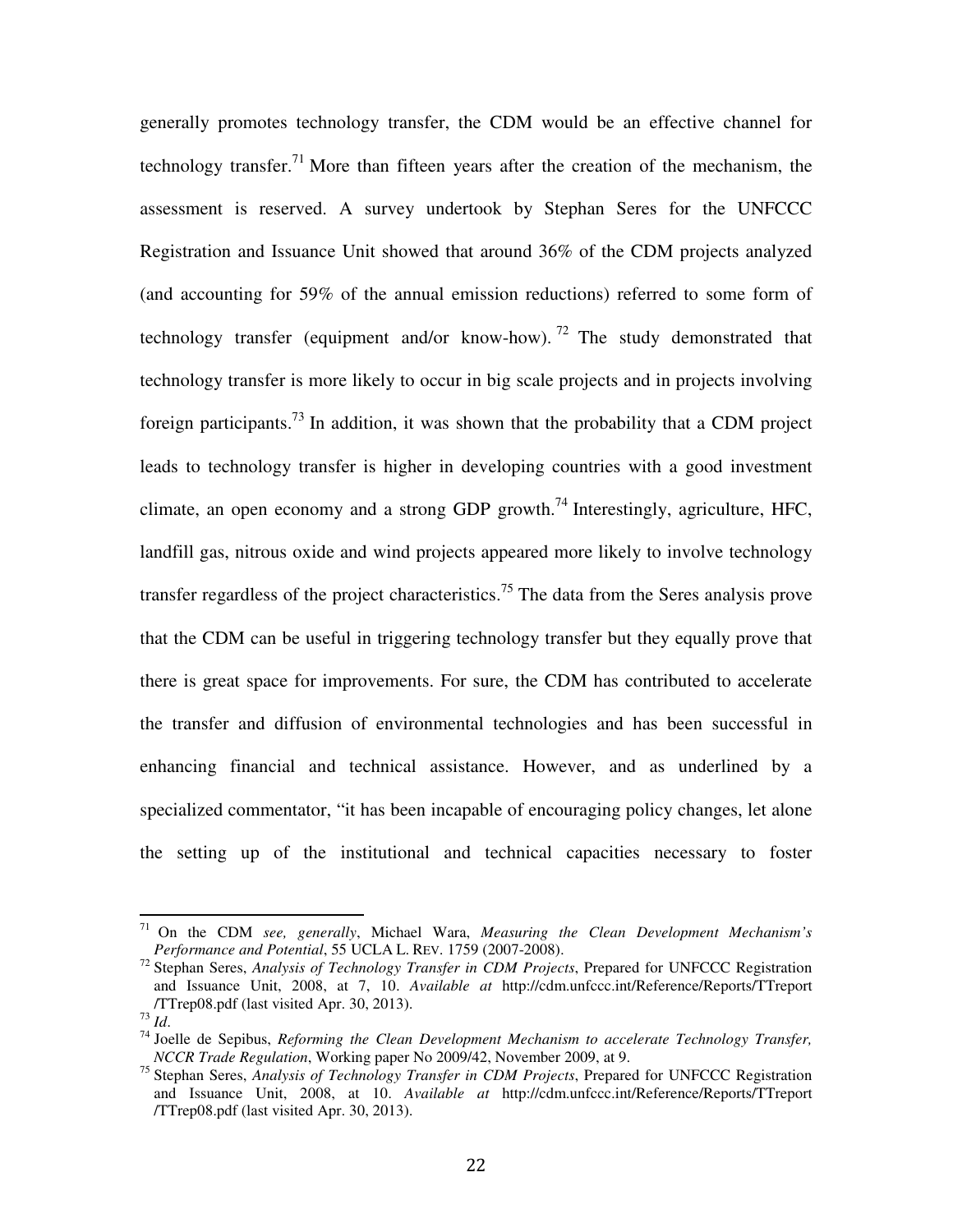generally promotes technology transfer, the CDM would be an effective channel for technology transfer.<sup>71</sup> More than fifteen years after the creation of the mechanism, the assessment is reserved. A survey undertook by Stephan Seres for the UNFCCC Registration and Issuance Unit showed that around 36% of the CDM projects analyzed (and accounting for 59% of the annual emission reductions) referred to some form of technology transfer (equipment and/or know-how).<sup>72</sup> The study demonstrated that technology transfer is more likely to occur in big scale projects and in projects involving foreign participants.<sup>73</sup> In addition, it was shown that the probability that a CDM project leads to technology transfer is higher in developing countries with a good investment climate, an open economy and a strong GDP growth.<sup>74</sup> Interestingly, agriculture, HFC, landfill gas, nitrous oxide and wind projects appeared more likely to involve technology transfer regardless of the project characteristics.<sup>75</sup> The data from the Seres analysis prove that the CDM can be useful in triggering technology transfer but they equally prove that there is great space for improvements. For sure, the CDM has contributed to accelerate the transfer and diffusion of environmental technologies and has been successful in enhancing financial and technical assistance. However, and as underlined by a specialized commentator, "it has been incapable of encouraging policy changes, let alone the setting up of the institutional and technical capacities necessary to foster

<sup>71</sup> On the CDM *see, generally*, Michael Wara, *Measuring the Clean Development Mechanism's Performance and Potential*, 55 UCLA L. REV. 1759 (2007-2008).

<sup>72</sup> Stephan Seres, *Analysis of Technology Transfer in CDM Projects*, Prepared for UNFCCC Registration and Issuance Unit, 2008, at 7, 10. *Available at* http://cdm.unfccc.int/Reference/Reports/TTreport /TTrep08.pdf (last visited Apr. 30, 2013).

<sup>73</sup> *Id*.

<sup>74</sup> Joelle de Sepibus, *Reforming the Clean Development Mechanism to accelerate Technology Transfer, NCCR Trade Regulation*, Working paper No 2009/42, November 2009, at 9.

<sup>75</sup> Stephan Seres, *Analysis of Technology Transfer in CDM Projects*, Prepared for UNFCCC Registration and Issuance Unit, 2008, at 10. *Available at* http://cdm.unfccc.int/Reference/Reports/TTreport /TTrep08.pdf (last visited Apr. 30, 2013).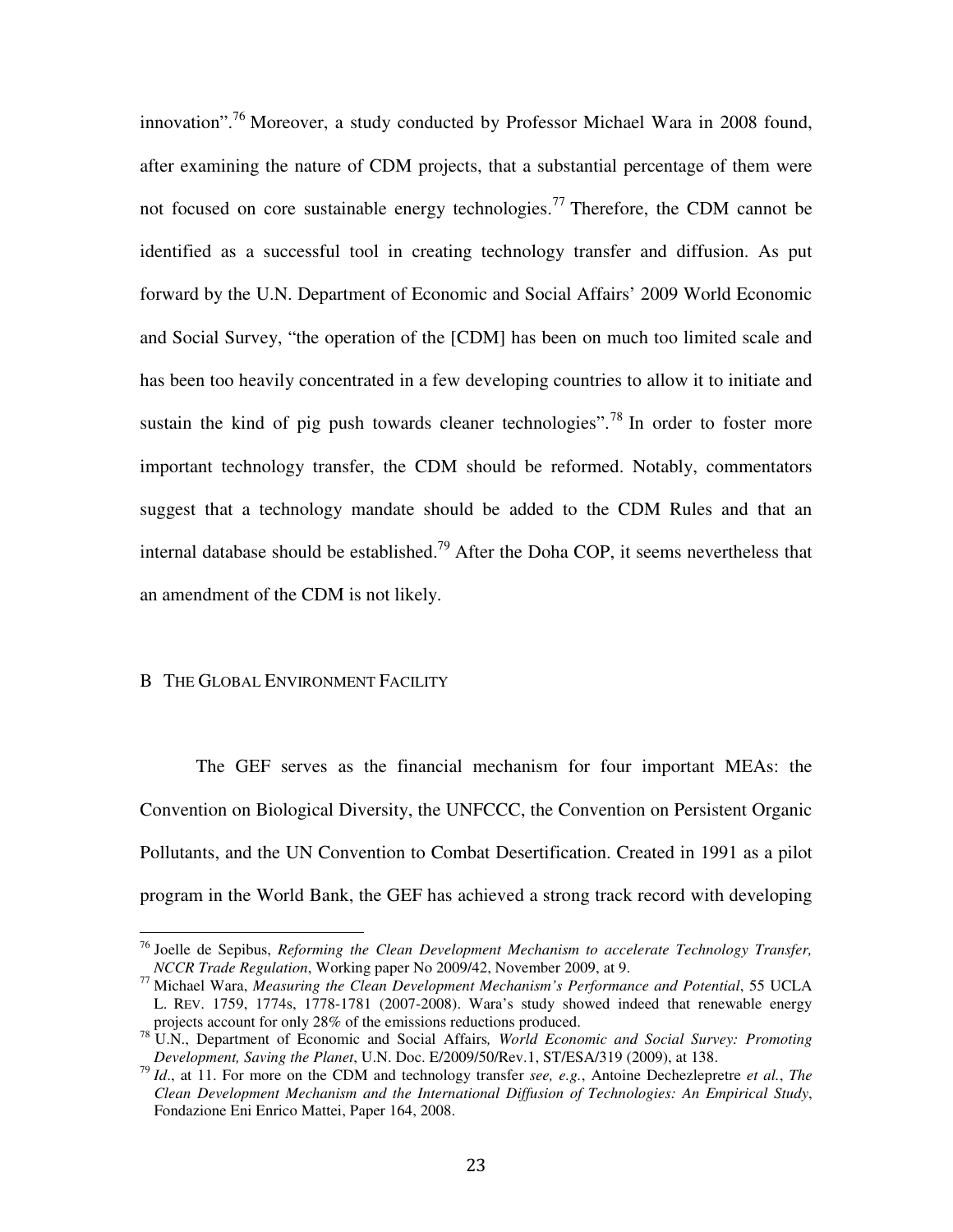innovation".<sup>76</sup> Moreover, a study conducted by Professor Michael Wara in 2008 found, after examining the nature of CDM projects, that a substantial percentage of them were not focused on core sustainable energy technologies.<sup>77</sup> Therefore, the CDM cannot be identified as a successful tool in creating technology transfer and diffusion. As put forward by the U.N. Department of Economic and Social Affairs' 2009 World Economic and Social Survey, "the operation of the [CDM] has been on much too limited scale and has been too heavily concentrated in a few developing countries to allow it to initiate and sustain the kind of pig push towards cleaner technologies".<sup>78</sup> In order to foster more important technology transfer, the CDM should be reformed. Notably, commentators suggest that a technology mandate should be added to the CDM Rules and that an internal database should be established.<sup>79</sup> After the Doha COP, it seems nevertheless that an amendment of the CDM is not likely.

# B THE GLOBAL ENVIRONMENT FACILITY

 $\overline{a}$ 

 The GEF serves as the financial mechanism for four important MEAs: the Convention on Biological Diversity, the UNFCCC, the Convention on Persistent Organic Pollutants, and the UN Convention to Combat Desertification. Created in 1991 as a pilot program in the World Bank, the GEF has achieved a strong track record with developing

<sup>76</sup> Joelle de Sepibus, *Reforming the Clean Development Mechanism to accelerate Technology Transfer, NCCR Trade Regulation*, Working paper No 2009/42, November 2009, at 9.

<sup>77</sup> Michael Wara, *Measuring the Clean Development Mechanism's Performance and Potential*, 55 UCLA L. REV. 1759, 1774s, 1778-1781 (2007-2008). Wara's study showed indeed that renewable energy projects account for only 28% of the emissions reductions produced.

<sup>78</sup> U.N., Department of Economic and Social Affairs*, World Economic and Social Survey: Promoting Development, Saving the Planet*, U.N. Doc. E/2009/50/Rev.1, ST/ESA/319 (2009), at 138.

<sup>79</sup> *Id*., at 11. For more on the CDM and technology transfer *see, e.g.*, Antoine Dechezlepretre *et al.*, *The Clean Development Mechanism and the International Diffusion of Technologies: An Empirical Study*, Fondazione Eni Enrico Mattei, Paper 164, 2008.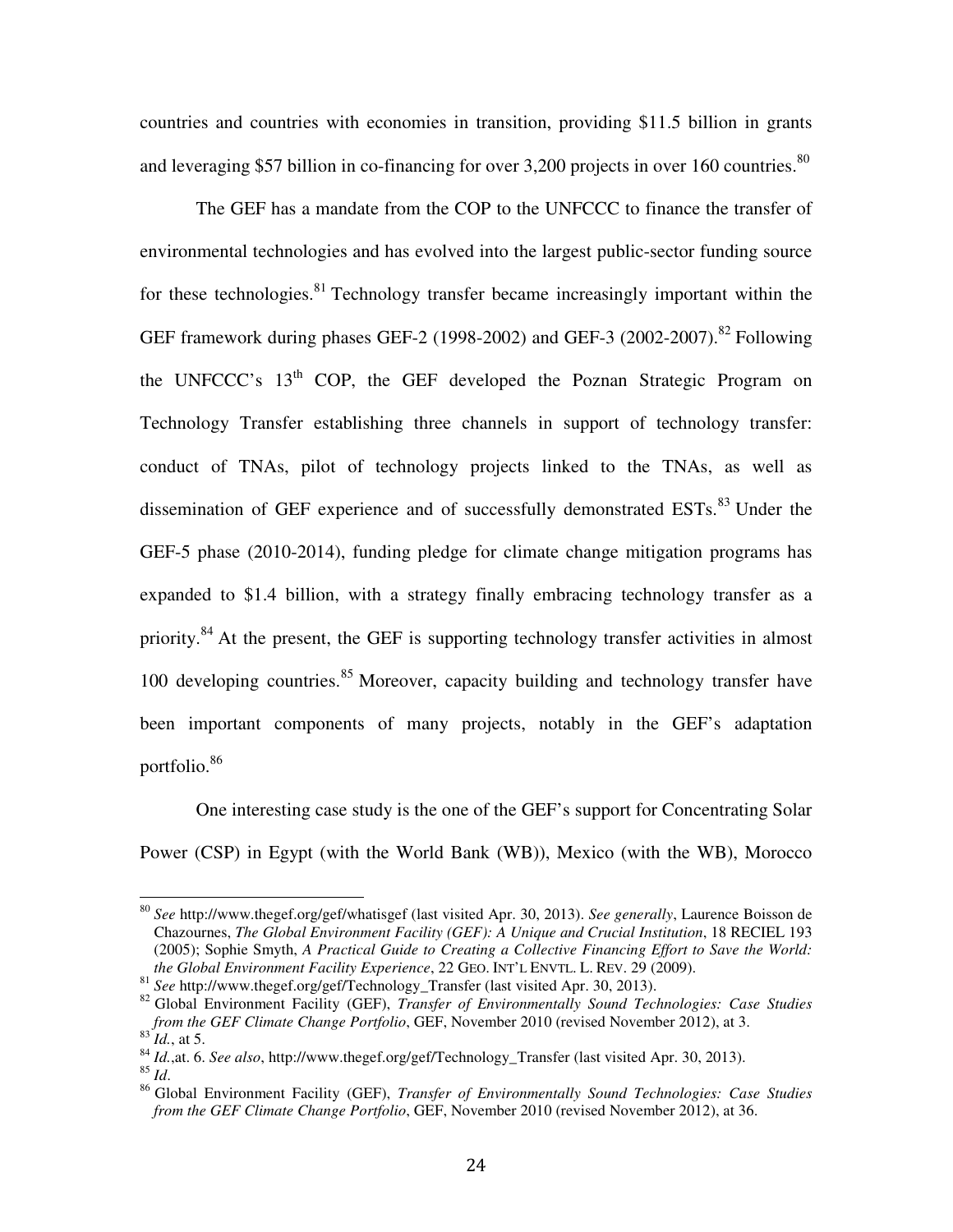countries and countries with economies in transition, providing \$11.5 billion in grants and leveraging \$57 billion in co-financing for over 3,200 projects in over 160 countries.<sup>80</sup>

 The GEF has a mandate from the COP to the UNFCCC to finance the transfer of environmental technologies and has evolved into the largest public-sector funding source for these technologies.<sup>81</sup> Technology transfer became increasingly important within the GEF framework during phases GEF-2 (1998-2002) and GEF-3 (2002-2007).<sup>82</sup> Following the UNFCCC's 13<sup>th</sup> COP, the GEF developed the Poznan Strategic Program on Technology Transfer establishing three channels in support of technology transfer: conduct of TNAs, pilot of technology projects linked to the TNAs, as well as dissemination of GEF experience and of successfully demonstrated ESTs.<sup>83</sup> Under the GEF-5 phase (2010-2014), funding pledge for climate change mitigation programs has expanded to \$1.4 billion, with a strategy finally embracing technology transfer as a priority.<sup>84</sup> At the present, the GEF is supporting technology transfer activities in almost 100 developing countries.<sup>85</sup> Moreover, capacity building and technology transfer have been important components of many projects, notably in the GEF's adaptation portfolio.<sup>86</sup>

 One interesting case study is the one of the GEF's support for Concentrating Solar Power (CSP) in Egypt (with the World Bank (WB)), Mexico (with the WB), Morocco

<sup>80</sup> *See* http://www.thegef.org/gef/whatisgef (last visited Apr. 30, 2013). *See generally*, Laurence Boisson de Chazournes, *The Global Environment Facility (GEF): A Unique and Crucial Institution*, 18 RECIEL 193 (2005); Sophie Smyth, *A Practical Guide to Creating a Collective Financing Effort to Save the World: the Global Environment Facility Experience*, 22 GEO. INT'L ENVTL. L. REV. 29 (2009).

<sup>&</sup>lt;sup>81</sup> *See* http://www.thegef.org/gef/Technology\_Transfer (last visited Apr. 30, 2013).

<sup>82</sup> Global Environment Facility (GEF), *Transfer of Environmentally Sound Technologies: Case Studies from the GEF Climate Change Portfolio*, GEF, November 2010 (revised November 2012), at 3.  $^{83}$  *Id.*, at 5.

<sup>84</sup> *Id.*,at. 6. *See also*, http://www.thegef.org/gef/Technology\_Transfer (last visited Apr. 30, 2013).

<sup>85</sup> *Id*.

<sup>86</sup> Global Environment Facility (GEF), *Transfer of Environmentally Sound Technologies: Case Studies from the GEF Climate Change Portfolio*, GEF, November 2010 (revised November 2012), at 36.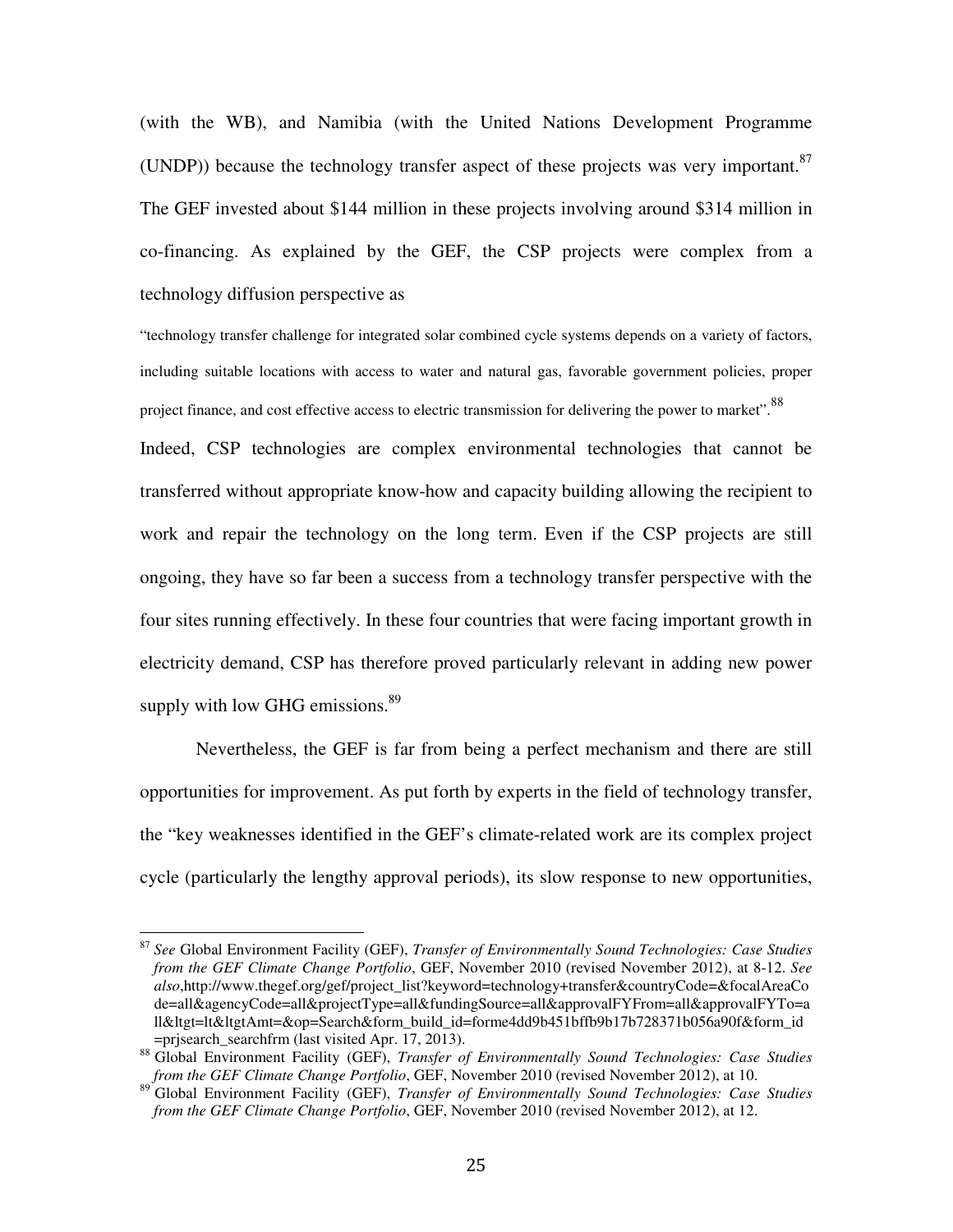(with the WB), and Namibia (with the United Nations Development Programme (UNDP)) because the technology transfer aspect of these projects was very important.<sup>87</sup> The GEF invested about \$144 million in these projects involving around \$314 million in co-financing. As explained by the GEF, the CSP projects were complex from a technology diffusion perspective as

"technology transfer challenge for integrated solar combined cycle systems depends on a variety of factors, including suitable locations with access to water and natural gas, favorable government policies, proper project finance, and cost effective access to electric transmission for delivering the power to market".<sup>88</sup> Indeed, CSP technologies are complex environmental technologies that cannot be transferred without appropriate know-how and capacity building allowing the recipient to work and repair the technology on the long term. Even if the CSP projects are still ongoing, they have so far been a success from a technology transfer perspective with the four sites running effectively. In these four countries that were facing important growth in electricity demand, CSP has therefore proved particularly relevant in adding new power supply with low GHG emissions. $89$ 

 Nevertheless, the GEF is far from being a perfect mechanism and there are still opportunities for improvement. As put forth by experts in the field of technology transfer, the "key weaknesses identified in the GEF's climate-related work are its complex project cycle (particularly the lengthy approval periods), its slow response to new opportunities,

<sup>87</sup> *See* Global Environment Facility (GEF), *Transfer of Environmentally Sound Technologies: Case Studies from the GEF Climate Change Portfolio*, GEF, November 2010 (revised November 2012), at 8-12. *See also*,http://www.thegef.org/gef/project\_list?keyword=technology+transfer&countryCode=&focalAreaCo de=all&agencyCode=all&projectType=all&fundingSource=all&approvalFYFrom=all&approvalFYTo=a ll&ltgt=lt&ltgtAmt=&op=Search&form\_build\_id=forme4dd9b451bffb9b17b728371b056a90f&form\_id  $=$ prjsearch searchfrm (last visited Apr. 17, 2013).

<sup>88</sup> Global Environment Facility (GEF), *Transfer of Environmentally Sound Technologies: Case Studies from the GEF Climate Change Portfolio*, GEF, November 2010 (revised November 2012), at 10.

<sup>89</sup> Global Environment Facility (GEF), *Transfer of Environmentally Sound Technologies: Case Studies from the GEF Climate Change Portfolio*, GEF, November 2010 (revised November 2012), at 12.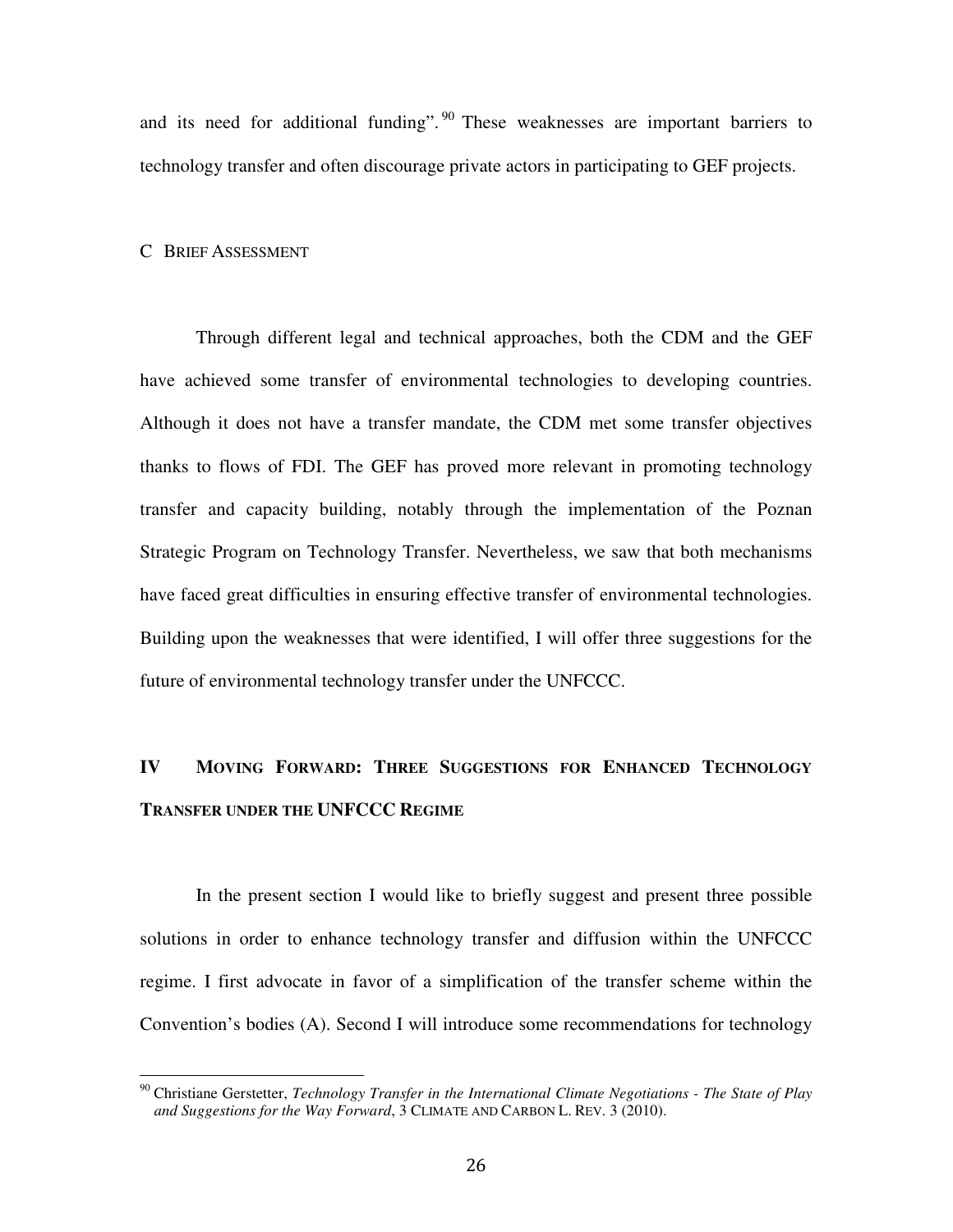and its need for additional funding".  $90$  These weaknesses are important barriers to technology transfer and often discourage private actors in participating to GEF projects.

#### C BRIEF ASSESSMENT

 $\overline{1}$ 

 Through different legal and technical approaches, both the CDM and the GEF have achieved some transfer of environmental technologies to developing countries. Although it does not have a transfer mandate, the CDM met some transfer objectives thanks to flows of FDI. The GEF has proved more relevant in promoting technology transfer and capacity building, notably through the implementation of the Poznan Strategic Program on Technology Transfer. Nevertheless, we saw that both mechanisms have faced great difficulties in ensuring effective transfer of environmental technologies. Building upon the weaknesses that were identified, I will offer three suggestions for the future of environmental technology transfer under the UNFCCC.

# **IV MOVING FORWARD: THREE SUGGESTIONS FOR ENHANCED TECHNOLOGY TRANSFER UNDER THE UNFCCC REGIME**

In the present section I would like to briefly suggest and present three possible solutions in order to enhance technology transfer and diffusion within the UNFCCC regime. I first advocate in favor of a simplification of the transfer scheme within the Convention's bodies (A). Second I will introduce some recommendations for technology

<sup>90</sup> Christiane Gerstetter, *Technology Transfer in the International Climate Negotiations - The State of Play and Suggestions for the Way Forward*, 3 CLIMATE AND CARBON L. REV. 3 (2010).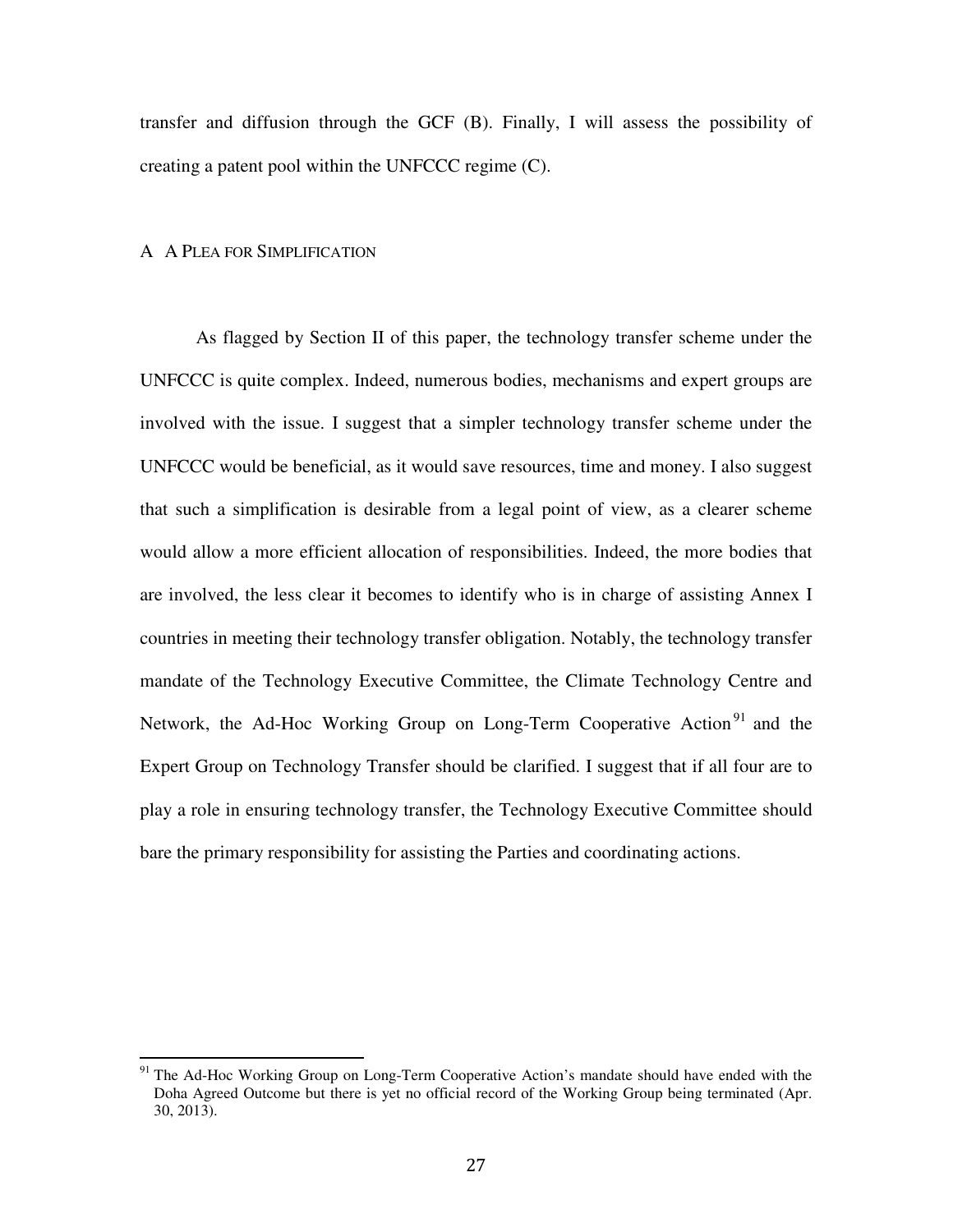transfer and diffusion through the GCF (B). Finally, I will assess the possibility of creating a patent pool within the UNFCCC regime (C).

# A A PLEA FOR SIMPLIFICATION

 $\overline{a}$ 

 As flagged by Section II of this paper, the technology transfer scheme under the UNFCCC is quite complex. Indeed, numerous bodies, mechanisms and expert groups are involved with the issue. I suggest that a simpler technology transfer scheme under the UNFCCC would be beneficial, as it would save resources, time and money. I also suggest that such a simplification is desirable from a legal point of view, as a clearer scheme would allow a more efficient allocation of responsibilities. Indeed, the more bodies that are involved, the less clear it becomes to identify who is in charge of assisting Annex I countries in meeting their technology transfer obligation. Notably, the technology transfer mandate of the Technology Executive Committee, the Climate Technology Centre and Network, the Ad-Hoc Working Group on Long-Term Cooperative Action<sup>91</sup> and the Expert Group on Technology Transfer should be clarified. I suggest that if all four are to play a role in ensuring technology transfer, the Technology Executive Committee should bare the primary responsibility for assisting the Parties and coordinating actions.

<sup>&</sup>lt;sup>91</sup> The Ad-Hoc Working Group on Long-Term Cooperative Action's mandate should have ended with the Doha Agreed Outcome but there is yet no official record of the Working Group being terminated (Apr. 30, 2013).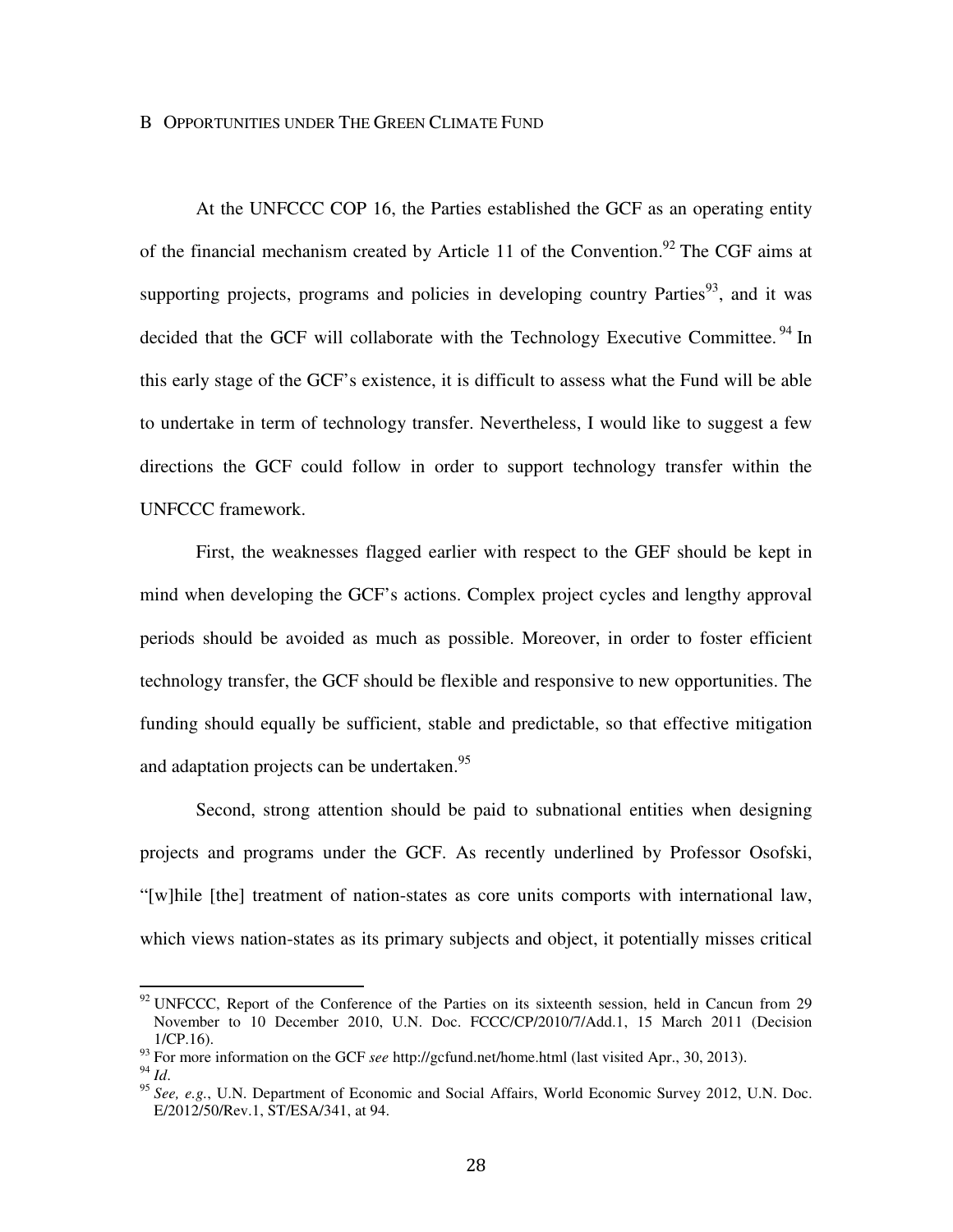#### B OPPORTUNITIES UNDER THE GREEN CLIMATE FUND

At the UNFCCC COP 16, the Parties established the GCF as an operating entity of the financial mechanism created by Article 11 of the Convention.<sup>92</sup> The CGF aims at supporting projects, programs and policies in developing country Parties<sup>93</sup>, and it was decided that the GCF will collaborate with the Technology Executive Committee.<sup>94</sup> In this early stage of the GCF's existence, it is difficult to assess what the Fund will be able to undertake in term of technology transfer. Nevertheless, I would like to suggest a few directions the GCF could follow in order to support technology transfer within the UNFCCC framework.

First, the weaknesses flagged earlier with respect to the GEF should be kept in mind when developing the GCF's actions. Complex project cycles and lengthy approval periods should be avoided as much as possible. Moreover, in order to foster efficient technology transfer, the GCF should be flexible and responsive to new opportunities. The funding should equally be sufficient, stable and predictable, so that effective mitigation and adaptation projects can be undertaken.<sup>95</sup>

Second, strong attention should be paid to subnational entities when designing projects and programs under the GCF. As recently underlined by Professor Osofski, "[w]hile [the] treatment of nation-states as core units comports with international law, which views nation-states as its primary subjects and object, it potentially misses critical

 $92$  UNFCCC, Report of the Conference of the Parties on its sixteenth session, held in Cancun from 29 November to 10 December 2010, U.N. Doc. FCCC/CP/2010/7/Add.1, 15 March 2011 (Decision 1/CP.16).

<sup>93</sup> For more information on the GCF *see* http://gcfund.net/home.html (last visited Apr., 30, 2013).

 $^{94}$  *Id.* 

<sup>95</sup> *See, e.g.*, U.N. Department of Economic and Social Affairs, World Economic Survey 2012, U.N. Doc. E/2012/50/Rev.1, ST/ESA/341, at 94.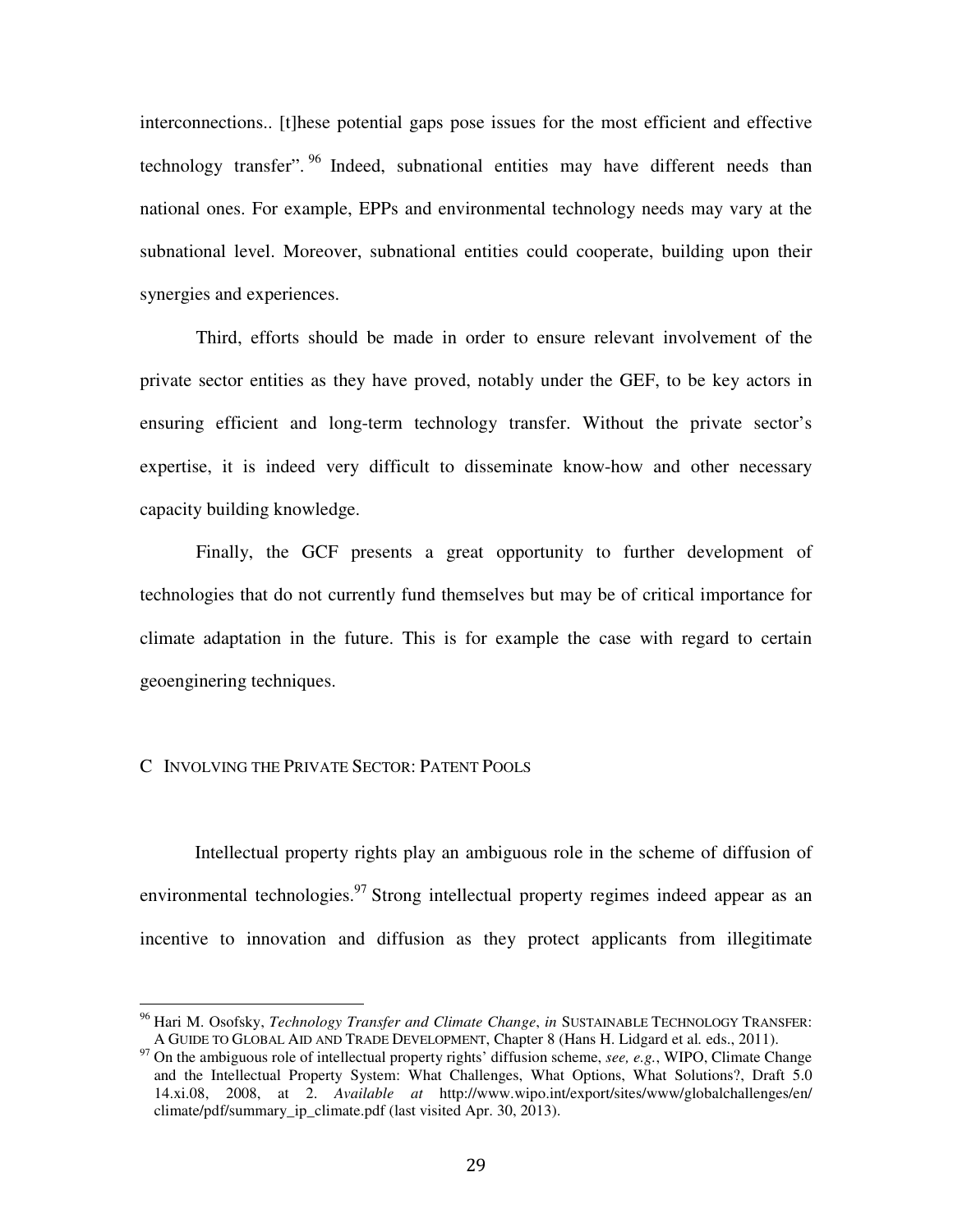interconnections.. [t]hese potential gaps pose issues for the most efficient and effective technology transfer". <sup>96</sup> Indeed, subnational entities may have different needs than national ones. For example, EPPs and environmental technology needs may vary at the subnational level. Moreover, subnational entities could cooperate, building upon their synergies and experiences.

Third, efforts should be made in order to ensure relevant involvement of the private sector entities as they have proved, notably under the GEF, to be key actors in ensuring efficient and long-term technology transfer. Without the private sector's expertise, it is indeed very difficult to disseminate know-how and other necessary capacity building knowledge.

Finally, the GCF presents a great opportunity to further development of technologies that do not currently fund themselves but may be of critical importance for climate adaptation in the future. This is for example the case with regard to certain geoenginering techniques.

# C INVOLVING THE PRIVATE SECTOR: PATENT POOLS

 $\overline{a}$ 

Intellectual property rights play an ambiguous role in the scheme of diffusion of environmental technologies.<sup>97</sup> Strong intellectual property regimes indeed appear as an incentive to innovation and diffusion as they protect applicants from illegitimate

<sup>96</sup> Hari M. Osofsky, *Technology Transfer and Climate Change*, *in* SUSTAINABLE TECHNOLOGY TRANSFER: A GUIDE TO GLOBAL AID AND TRADE DEVELOPMENT, Chapter 8 (Hans H. Lidgard et al*.* eds., 2011).

<sup>&</sup>lt;sup>97</sup> On the ambiguous role of intellectual property rights' diffusion scheme, *see, e.g.*, WIPO, Climate Change and the Intellectual Property System: What Challenges, What Options, What Solutions?, Draft 5.0 14.xi.08, 2008, at 2. *Available at* http://www.wipo.int/export/sites/www/globalchallenges/en/ climate/pdf/summary\_ip\_climate.pdf (last visited Apr. 30, 2013).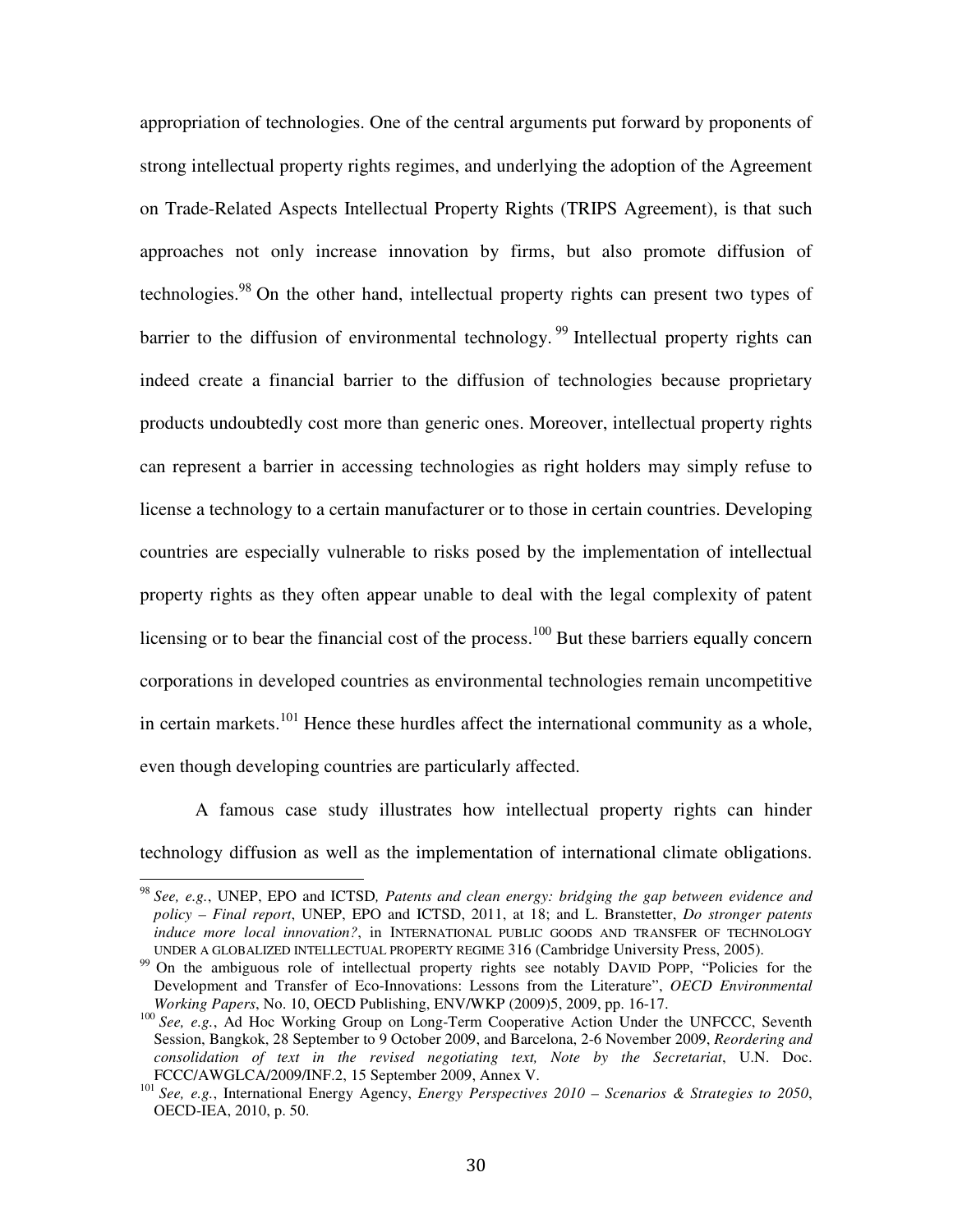appropriation of technologies. One of the central arguments put forward by proponents of strong intellectual property rights regimes, and underlying the adoption of the Agreement on Trade-Related Aspects Intellectual Property Rights (TRIPS Agreement), is that such approaches not only increase innovation by firms, but also promote diffusion of technologies.<sup>98</sup> On the other hand, intellectual property rights can present two types of barrier to the diffusion of environmental technology.<sup>99</sup> Intellectual property rights can indeed create a financial barrier to the diffusion of technologies because proprietary products undoubtedly cost more than generic ones. Moreover, intellectual property rights can represent a barrier in accessing technologies as right holders may simply refuse to license a technology to a certain manufacturer or to those in certain countries. Developing countries are especially vulnerable to risks posed by the implementation of intellectual property rights as they often appear unable to deal with the legal complexity of patent licensing or to bear the financial cost of the process.<sup>100</sup> But these barriers equally concern corporations in developed countries as environmental technologies remain uncompetitive in certain markets.<sup>101</sup> Hence these hurdles affect the international community as a whole, even though developing countries are particularly affected.

A famous case study illustrates how intellectual property rights can hinder technology diffusion as well as the implementation of international climate obligations.

<sup>98</sup> *See, e.g.*, UNEP, EPO and ICTSD*, Patents and clean energy: bridging the gap between evidence and policy – Final report*, UNEP, EPO and ICTSD, 2011, at 18; and L. Branstetter, *Do stronger patents induce more local innovation?*, in INTERNATIONAL PUBLIC GOODS AND TRANSFER OF TECHNOLOGY UNDER A GLOBALIZED INTELLECTUAL PROPERTY REGIME 316 (Cambridge University Press, 2005).

<sup>&</sup>lt;sup>99</sup> On the ambiguous role of intellectual property rights see notably DAVID POPP, "Policies for the Development and Transfer of Eco-Innovations: Lessons from the Literature", *OECD Environmental Working Papers*, No. 10, OECD Publishing, ENV/WKP (2009)5, 2009, pp. 16-17.

<sup>100</sup> See, e.g., Ad Hoc Working Group on Long-Term Cooperative Action Under the UNFCCC, Seventh Session, Bangkok, 28 September to 9 October 2009, and Barcelona, 2-6 November 2009, *Reordering and consolidation of text in the revised negotiating text, Note by the Secretariat*, U.N. Doc. FCCC/AWGLCA/2009/INF.2, 15 September 2009, Annex V.

<sup>101</sup> *See, e.g.*, International Energy Agency, *Energy Perspectives 2010 – Scenarios & Strategies to 2050*, OECD-IEA, 2010, p. 50.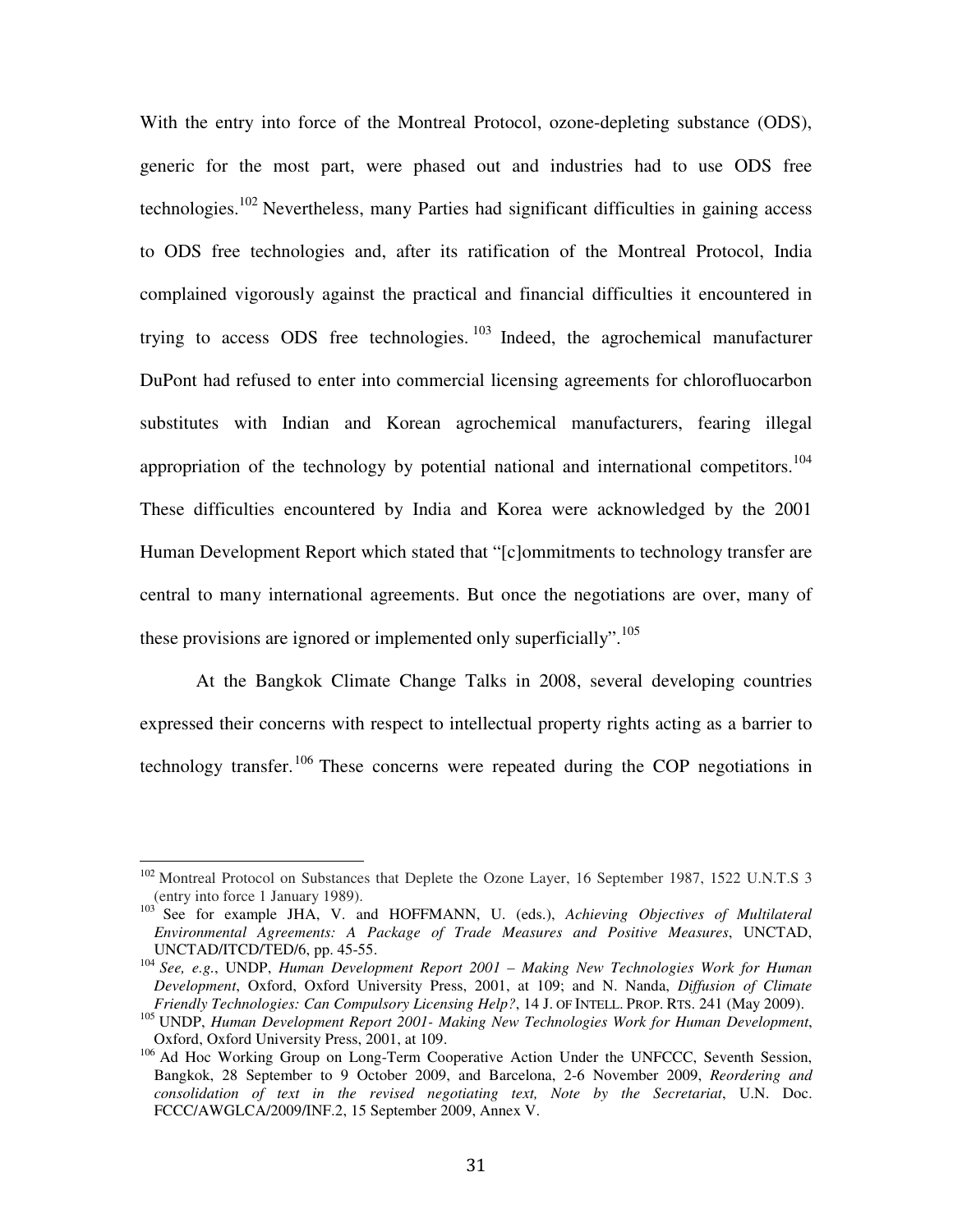With the entry into force of the Montreal Protocol, ozone-depleting substance (ODS), generic for the most part, were phased out and industries had to use ODS free technologies.<sup>102</sup> Nevertheless, many Parties had significant difficulties in gaining access to ODS free technologies and, after its ratification of the Montreal Protocol, India complained vigorously against the practical and financial difficulties it encountered in trying to access ODS free technologies.  $103$  Indeed, the agrochemical manufacturer DuPont had refused to enter into commercial licensing agreements for chlorofluocarbon substitutes with Indian and Korean agrochemical manufacturers, fearing illegal appropriation of the technology by potential national and international competitors.<sup>104</sup> These difficulties encountered by India and Korea were acknowledged by the 2001 Human Development Report which stated that "[c]ommitments to technology transfer are central to many international agreements. But once the negotiations are over, many of these provisions are ignored or implemented only superficially".<sup>105</sup>

 At the Bangkok Climate Change Talks in 2008, several developing countries expressed their concerns with respect to intellectual property rights acting as a barrier to technology transfer.<sup>106</sup> These concerns were repeated during the COP negotiations in

 $\overline{\phantom{a}}$ 

<sup>&</sup>lt;sup>102</sup> Montreal Protocol on Substances that Deplete the Ozone Layer, 16 September 1987, 1522 U.N.T.S 3 (entry into force 1 January 1989).

<sup>&</sup>lt;sup>103</sup> See for example JHA, V. and HOFFMANN, U. (eds.), *Achieving Objectives of Multilateral Environmental Agreements: A Package of Trade Measures and Positive Measures*, UNCTAD, UNCTAD/ITCD/TED/6, pp. 45-55.

<sup>104</sup> *See, e.g.*, UNDP, *Human Development Report 2001 – Making New Technologies Work for Human Development*, Oxford, Oxford University Press, 2001, at 109; and N. Nanda, *Diffusion of Climate Friendly Technologies: Can Compulsory Licensing Help?*, 14 J. OF INTELL. PROP. RTS. 241 (May 2009).

<sup>105</sup> UNDP, *Human Development Report 2001- Making New Technologies Work for Human Development*, Oxford, Oxford University Press, 2001, at 109.

<sup>&</sup>lt;sup>106</sup> Ad Hoc Working Group on Long-Term Cooperative Action Under the UNFCCC, Seventh Session, Bangkok, 28 September to 9 October 2009, and Barcelona, 2-6 November 2009, *Reordering and consolidation of text in the revised negotiating text, Note by the Secretariat*, U.N. Doc. FCCC/AWGLCA/2009/INF.2, 15 September 2009, Annex V.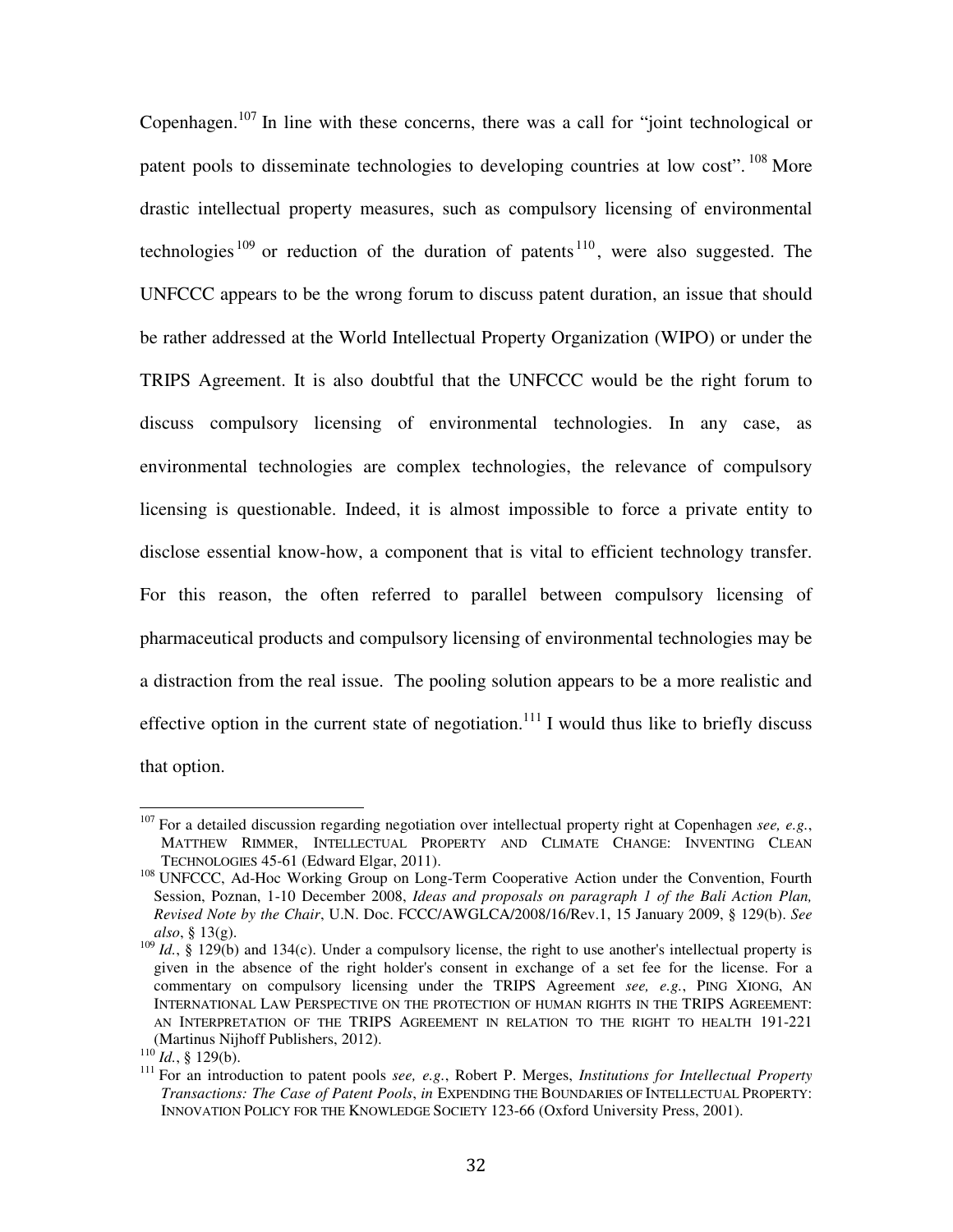Copenhagen.<sup>107</sup> In line with these concerns, there was a call for "joint technological or patent pools to disseminate technologies to developing countries at low cost".  $^{108}$  More drastic intellectual property measures, such as compulsory licensing of environmental technologies<sup>109</sup> or reduction of the duration of patents<sup>110</sup>, were also suggested. The UNFCCC appears to be the wrong forum to discuss patent duration, an issue that should be rather addressed at the World Intellectual Property Organization (WIPO) or under the TRIPS Agreement. It is also doubtful that the UNFCCC would be the right forum to discuss compulsory licensing of environmental technologies. In any case, as environmental technologies are complex technologies, the relevance of compulsory licensing is questionable. Indeed, it is almost impossible to force a private entity to disclose essential know-how, a component that is vital to efficient technology transfer. For this reason, the often referred to parallel between compulsory licensing of pharmaceutical products and compulsory licensing of environmental technologies may be a distraction from the real issue. The pooling solution appears to be a more realistic and effective option in the current state of negotiation.<sup>111</sup> I would thus like to briefly discuss that option.

<sup>107</sup> For a detailed discussion regarding negotiation over intellectual property right at Copenhagen *see, e.g.*, MATTHEW RIMMER, INTELLECTUAL PROPERTY AND CLIMATE CHANGE: INVENTING CLEAN TECHNOLOGIES 45-61 (Edward Elgar, 2011).

<sup>&</sup>lt;sup>108</sup> UNFCCC, Ad-Hoc Working Group on Long-Term Cooperative Action under the Convention, Fourth Session, Poznan, 1-10 December 2008, *Ideas and proposals on paragraph 1 of the Bali Action Plan, Revised Note by the Chair*, U.N. Doc. FCCC/AWGLCA/2008/16/Rev.1, 15 January 2009, § 129(b). *See also*, § 13(g).

<sup>&</sup>lt;sup>109</sup> *Id.*, § 129(b) and 134(c). Under a compulsory license, the right to use another's intellectual property is given in the absence of the right holder's consent in exchange of a set fee for the license. For a commentary on compulsory licensing under the TRIPS Agreement *see, e.g.*, PING XIONG, AN INTERNATIONAL LAW PERSPECTIVE ON THE PROTECTION OF HUMAN RIGHTS IN THE TRIPS AGREEMENT: AN INTERPRETATION OF THE TRIPS AGREEMENT IN RELATION TO THE RIGHT TO HEALTH 191-221 (Martinus Nijhoff Publishers, 2012).

 $^{110}$ *Id.*, § 129(b).

<sup>111</sup> For an introduction to patent pools *see, e.g.*, Robert P. Merges, *Institutions for Intellectual Property Transactions: The Case of Patent Pools*, *in* EXPENDING THE BOUNDARIES OF INTELLECTUAL PROPERTY: INNOVATION POLICY FOR THE KNOWLEDGE SOCIETY 123-66 (Oxford University Press, 2001).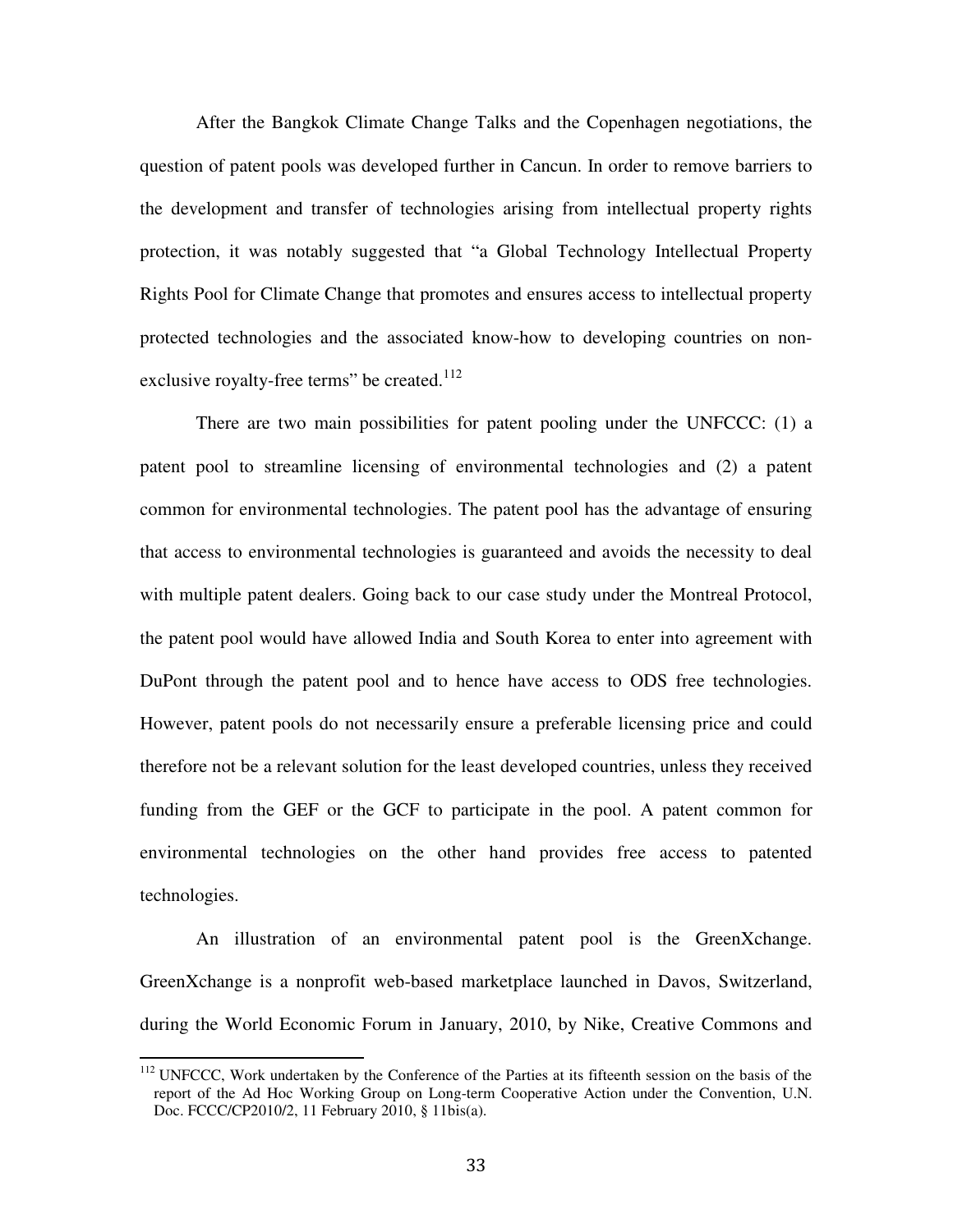After the Bangkok Climate Change Talks and the Copenhagen negotiations, the question of patent pools was developed further in Cancun. In order to remove barriers to the development and transfer of technologies arising from intellectual property rights protection, it was notably suggested that "a Global Technology Intellectual Property Rights Pool for Climate Change that promotes and ensures access to intellectual property protected technologies and the associated know-how to developing countries on nonexclusive royalty-free terms" be created. $112$ 

 There are two main possibilities for patent pooling under the UNFCCC: (1) a patent pool to streamline licensing of environmental technologies and (2) a patent common for environmental technologies. The patent pool has the advantage of ensuring that access to environmental technologies is guaranteed and avoids the necessity to deal with multiple patent dealers. Going back to our case study under the Montreal Protocol, the patent pool would have allowed India and South Korea to enter into agreement with DuPont through the patent pool and to hence have access to ODS free technologies. However, patent pools do not necessarily ensure a preferable licensing price and could therefore not be a relevant solution for the least developed countries, unless they received funding from the GEF or the GCF to participate in the pool. A patent common for environmental technologies on the other hand provides free access to patented technologies.

An illustration of an environmental patent pool is the GreenXchange. GreenXchange is a nonprofit web-based marketplace launched in Davos, Switzerland, during the World Economic Forum in January, 2010, by Nike, Creative Commons and

<sup>&</sup>lt;sup>112</sup> UNFCCC, Work undertaken by the Conference of the Parties at its fifteenth session on the basis of the report of the Ad Hoc Working Group on Long-term Cooperative Action under the Convention, U.N. Doc. FCCC/CP2010/2, 11 February 2010, § 11bis(a).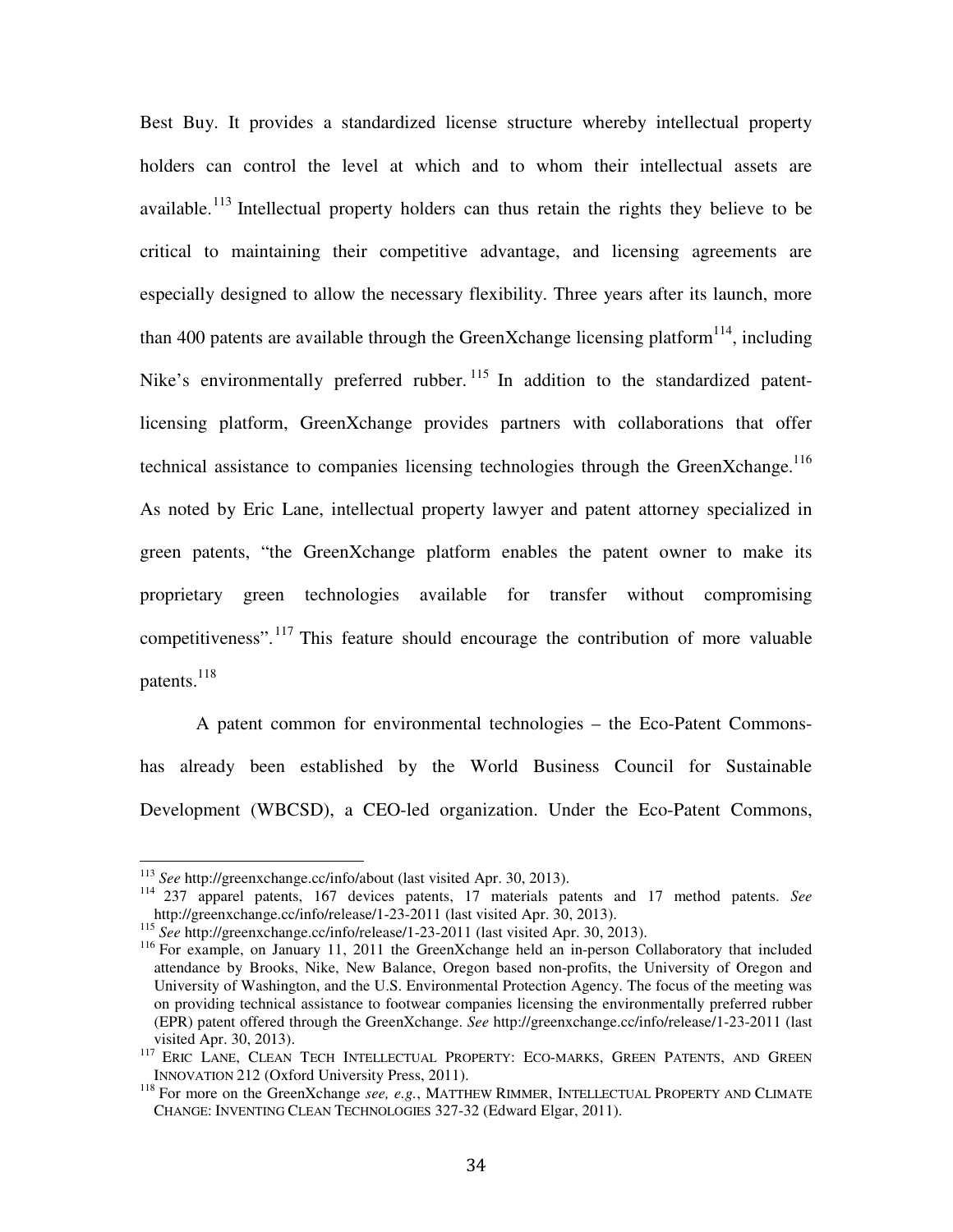Best Buy. It provides a standardized license structure whereby intellectual property holders can control the level at which and to whom their intellectual assets are available.<sup>113</sup> Intellectual property holders can thus retain the rights they believe to be critical to maintaining their competitive advantage, and licensing agreements are especially designed to allow the necessary flexibility. Three years after its launch, more than 400 patents are available through the GreenXchange licensing platform<sup>114</sup>, including Nike's environmentally preferred rubber.<sup>115</sup> In addition to the standardized patentlicensing platform, GreenXchange provides partners with collaborations that offer technical assistance to companies licensing technologies through the GreenXchange.<sup>116</sup> As noted by Eric Lane, intellectual property lawyer and patent attorney specialized in green patents, "the GreenXchange platform enables the patent owner to make its proprietary green technologies available for transfer without compromising competitiveness".<sup>117</sup> This feature should encourage the contribution of more valuable patents.<sup>118</sup>

A patent common for environmental technologies – the Eco-Patent Commonshas already been established by the World Business Council for Sustainable Development (WBCSD), a CEO-led organization. Under the Eco-Patent Commons,

 $\overline{\phantom{a}}$ 

<sup>113</sup> *See* http://greenxchange.cc/info/about (last visited Apr. 30, 2013).

<sup>114</sup> 237 apparel patents, 167 devices patents, 17 materials patents and 17 method patents. *See*  http://greenxchange.cc/info/release/1-23-2011 (last visited Apr. 30, 2013).

<sup>115</sup> *See* http://greenxchange.cc/info/release/1-23-2011 (last visited Apr. 30, 2013).

<sup>&</sup>lt;sup>116</sup> For example, on January 11, 2011 the GreenXchange held an in-person Collaboratory that included attendance by Brooks, Nike, New Balance, Oregon based non-profits, the University of Oregon and University of Washington, and the U.S. Environmental Protection Agency. The focus of the meeting was on providing technical assistance to footwear companies licensing the environmentally preferred rubber (EPR) patent offered through the GreenXchange. *See* http://greenxchange.cc/info/release/1-23-2011 (last visited Apr. 30, 2013).

<sup>117</sup> ERIC LANE, CLEAN TECH INTELLECTUAL PROPERTY: ECO-MARKS, GREEN PATENTS, AND GREEN INNOVATION 212 (Oxford University Press, 2011).

<sup>&</sup>lt;sup>118</sup> For more on the GreenXchange *see, e.g.*, MATTHEW RIMMER, INTELLECTUAL PROPERTY AND CLIMATE CHANGE: INVENTING CLEAN TECHNOLOGIES 327-32 (Edward Elgar, 2011).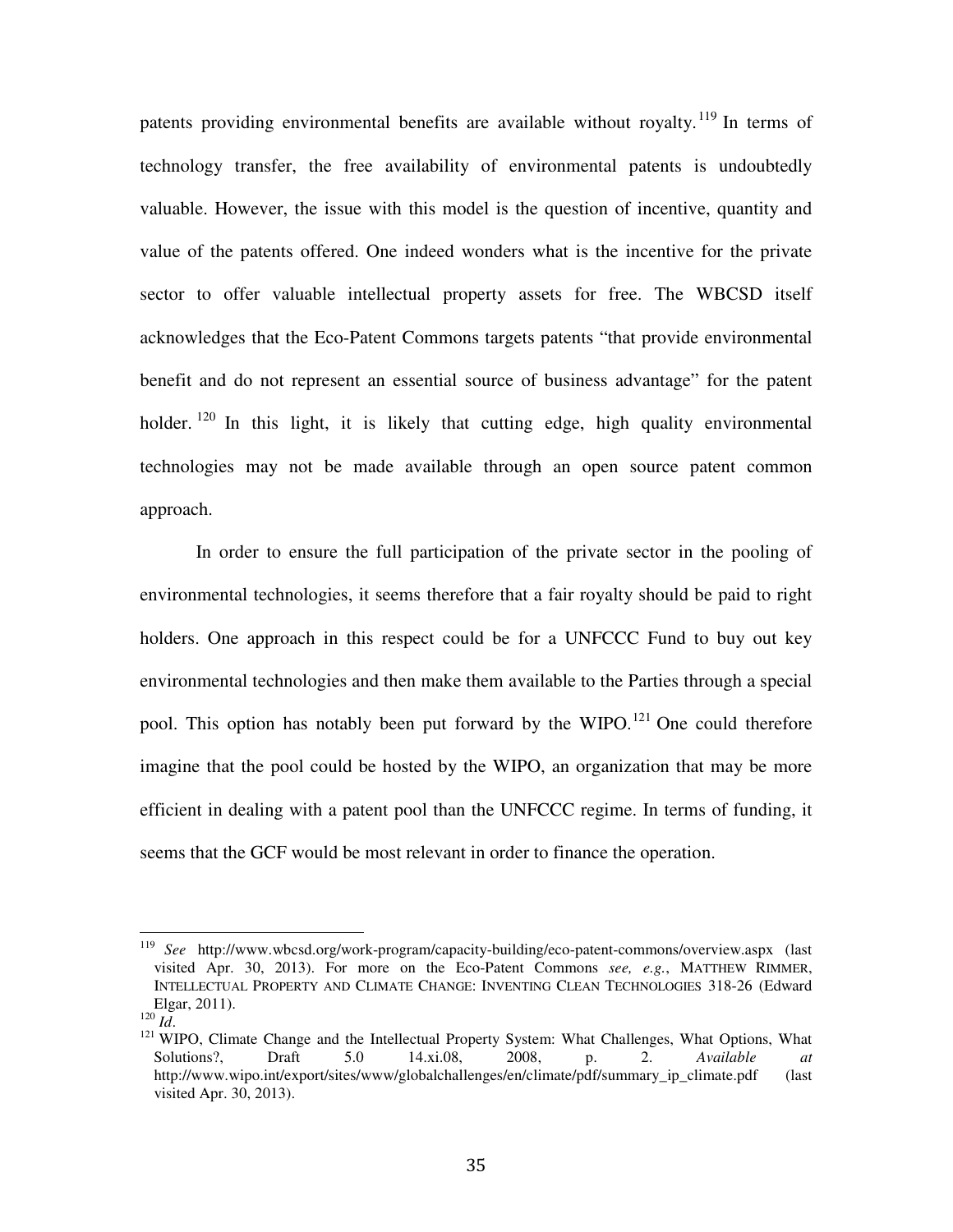patents providing environmental benefits are available without royalty.<sup>119</sup> In terms of technology transfer, the free availability of environmental patents is undoubtedly valuable. However, the issue with this model is the question of incentive, quantity and value of the patents offered. One indeed wonders what is the incentive for the private sector to offer valuable intellectual property assets for free. The WBCSD itself acknowledges that the Eco-Patent Commons targets patents "that provide environmental benefit and do not represent an essential source of business advantage" for the patent holder. <sup>120</sup> In this light, it is likely that cutting edge, high quality environmental technologies may not be made available through an open source patent common approach.

In order to ensure the full participation of the private sector in the pooling of environmental technologies, it seems therefore that a fair royalty should be paid to right holders. One approach in this respect could be for a UNFCCC Fund to buy out key environmental technologies and then make them available to the Parties through a special pool. This option has notably been put forward by the WIPO.<sup>121</sup> One could therefore imagine that the pool could be hosted by the WIPO, an organization that may be more efficient in dealing with a patent pool than the UNFCCC regime. In terms of funding, it seems that the GCF would be most relevant in order to finance the operation.

l

<sup>119</sup> *See* http://www.wbcsd.org/work-program/capacity-building/eco-patent-commons/overview.aspx (last visited Apr. 30, 2013). For more on the Eco-Patent Commons *see, e.g.*, MATTHEW RIMMER, INTELLECTUAL PROPERTY AND CLIMATE CHANGE: INVENTING CLEAN TECHNOLOGIES 318-26 (Edward Elgar, 2011).

<sup>120</sup> *Id*.

<sup>&</sup>lt;sup>121</sup> WIPO, Climate Change and the Intellectual Property System: What Challenges, What Options, What Solutions?, Draft 5.0 14.xi.08, 2008, p. 2. *Available at* http://www.wipo.int/export/sites/www/globalchallenges/en/climate/pdf/summary\_ip\_climate.pdf (last visited Apr. 30, 2013).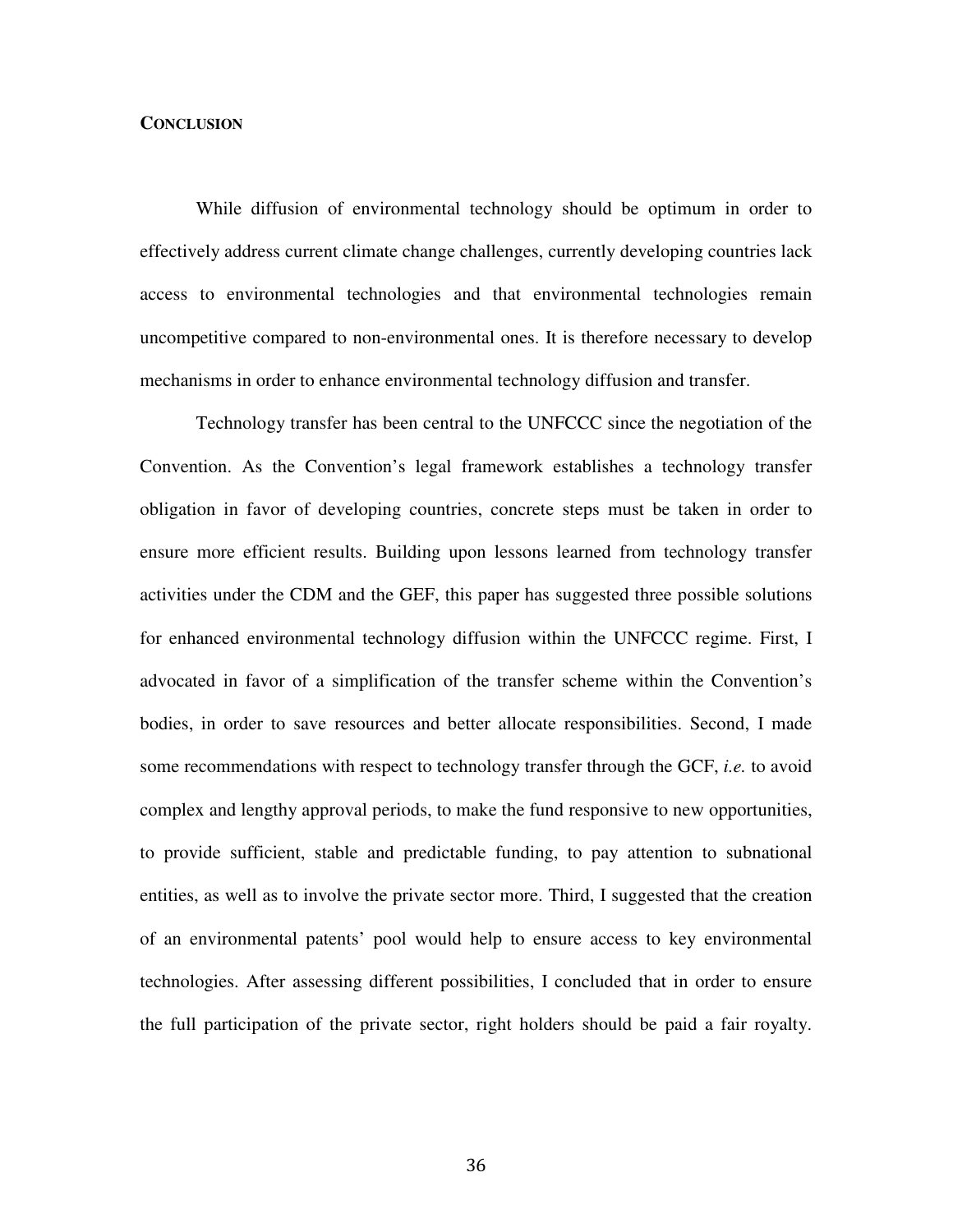# **CONCLUSION**

While diffusion of environmental technology should be optimum in order to effectively address current climate change challenges, currently developing countries lack access to environmental technologies and that environmental technologies remain uncompetitive compared to non-environmental ones. It is therefore necessary to develop mechanisms in order to enhance environmental technology diffusion and transfer.

Technology transfer has been central to the UNFCCC since the negotiation of the Convention. As the Convention's legal framework establishes a technology transfer obligation in favor of developing countries, concrete steps must be taken in order to ensure more efficient results. Building upon lessons learned from technology transfer activities under the CDM and the GEF, this paper has suggested three possible solutions for enhanced environmental technology diffusion within the UNFCCC regime. First, I advocated in favor of a simplification of the transfer scheme within the Convention's bodies, in order to save resources and better allocate responsibilities. Second, I made some recommendations with respect to technology transfer through the GCF, *i.e.* to avoid complex and lengthy approval periods, to make the fund responsive to new opportunities, to provide sufficient, stable and predictable funding, to pay attention to subnational entities, as well as to involve the private sector more. Third, I suggested that the creation of an environmental patents' pool would help to ensure access to key environmental technologies. After assessing different possibilities, I concluded that in order to ensure the full participation of the private sector, right holders should be paid a fair royalty.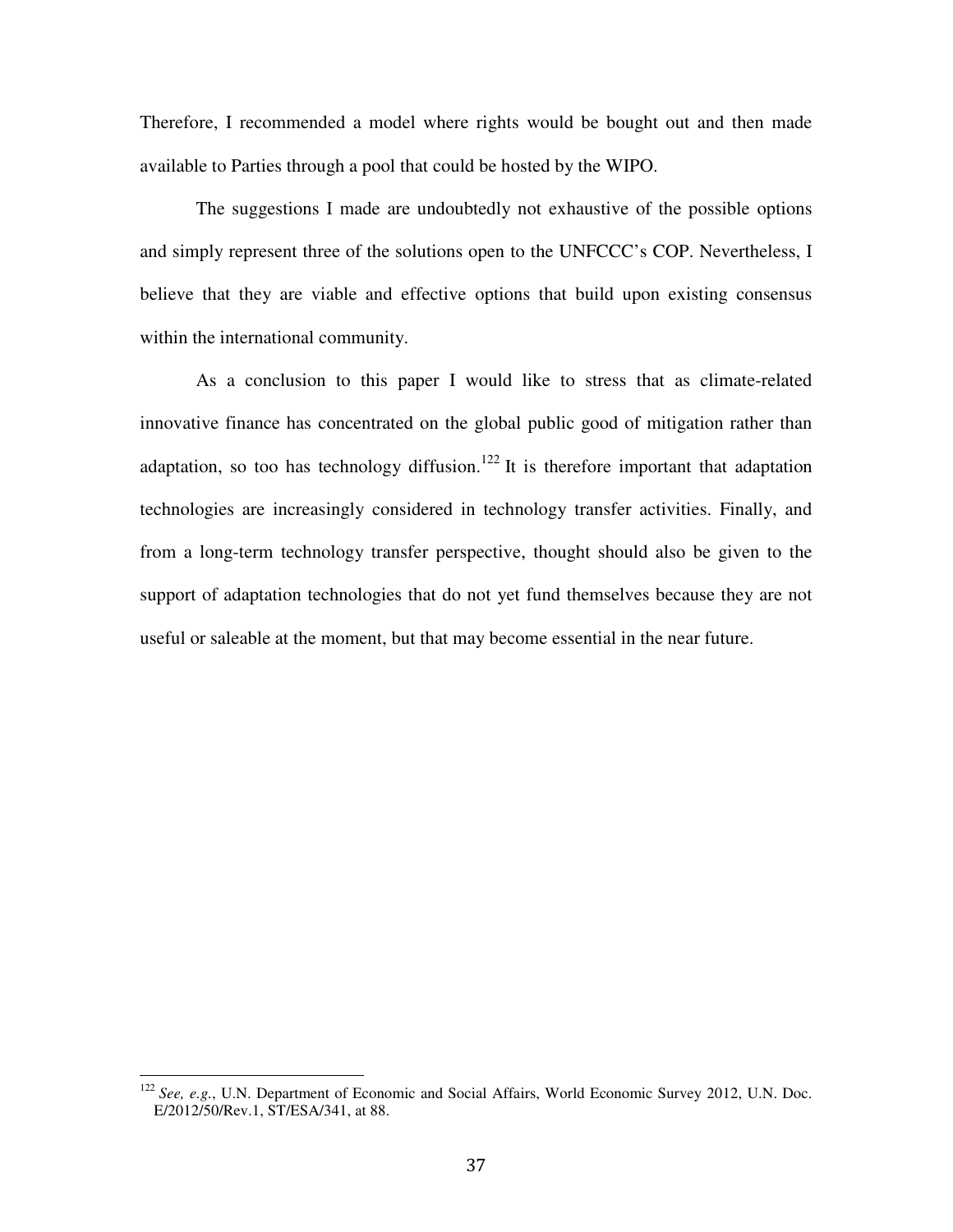Therefore, I recommended a model where rights would be bought out and then made available to Parties through a pool that could be hosted by the WIPO.

The suggestions I made are undoubtedly not exhaustive of the possible options and simply represent three of the solutions open to the UNFCCC's COP. Nevertheless, I believe that they are viable and effective options that build upon existing consensus within the international community.

As a conclusion to this paper I would like to stress that as climate-related innovative finance has concentrated on the global public good of mitigation rather than adaptation, so too has technology diffusion.<sup>122</sup> It is therefore important that adaptation technologies are increasingly considered in technology transfer activities. Finally, and from a long-term technology transfer perspective, thought should also be given to the support of adaptation technologies that do not yet fund themselves because they are not useful or saleable at the moment, but that may become essential in the near future.

 $\overline{\phantom{a}}$ 

<sup>122</sup> *See, e.g.*, U.N. Department of Economic and Social Affairs, World Economic Survey 2012, U.N. Doc. E/2012/50/Rev.1, ST/ESA/341, at 88.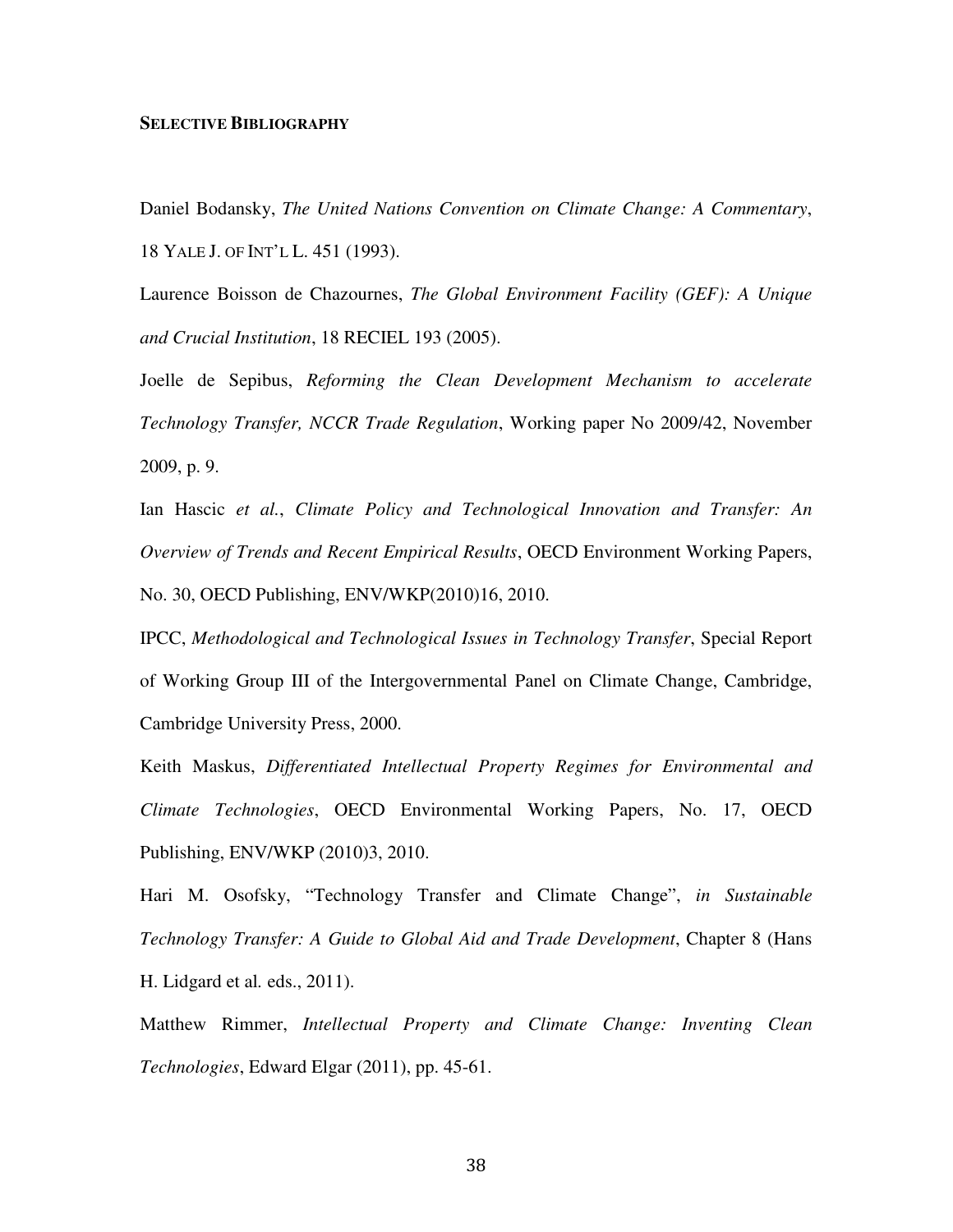#### **SELECTIVE BIBLIOGRAPHY**

Daniel Bodansky, *The United Nations Convention on Climate Change: A Commentary*, 18 YALE J. OF INT'L L. 451 (1993).

Laurence Boisson de Chazournes, *The Global Environment Facility (GEF): A Unique and Crucial Institution*, 18 RECIEL 193 (2005).

Joelle de Sepibus, *Reforming the Clean Development Mechanism to accelerate Technology Transfer, NCCR Trade Regulation*, Working paper No 2009/42, November 2009, p. 9.

Ian Hascic *et al.*, *Climate Policy and Technological Innovation and Transfer: An Overview of Trends and Recent Empirical Results*, OECD Environment Working Papers, No. 30, OECD Publishing, ENV/WKP(2010)16, 2010.

IPCC, *Methodological and Technological Issues in Technology Transfer*, Special Report of Working Group III of the Intergovernmental Panel on Climate Change, Cambridge, Cambridge University Press, 2000.

Keith Maskus, *Differentiated Intellectual Property Regimes for Environmental and Climate Technologies*, OECD Environmental Working Papers, No. 17, OECD Publishing, ENV/WKP (2010)3, 2010.

Hari M. Osofsky, "Technology Transfer and Climate Change", *in Sustainable Technology Transfer: A Guide to Global Aid and Trade Development*, Chapter 8 (Hans H. Lidgard et al*.* eds., 2011).

Matthew Rimmer, *Intellectual Property and Climate Change: Inventing Clean Technologies*, Edward Elgar (2011), pp. 45-61.

38